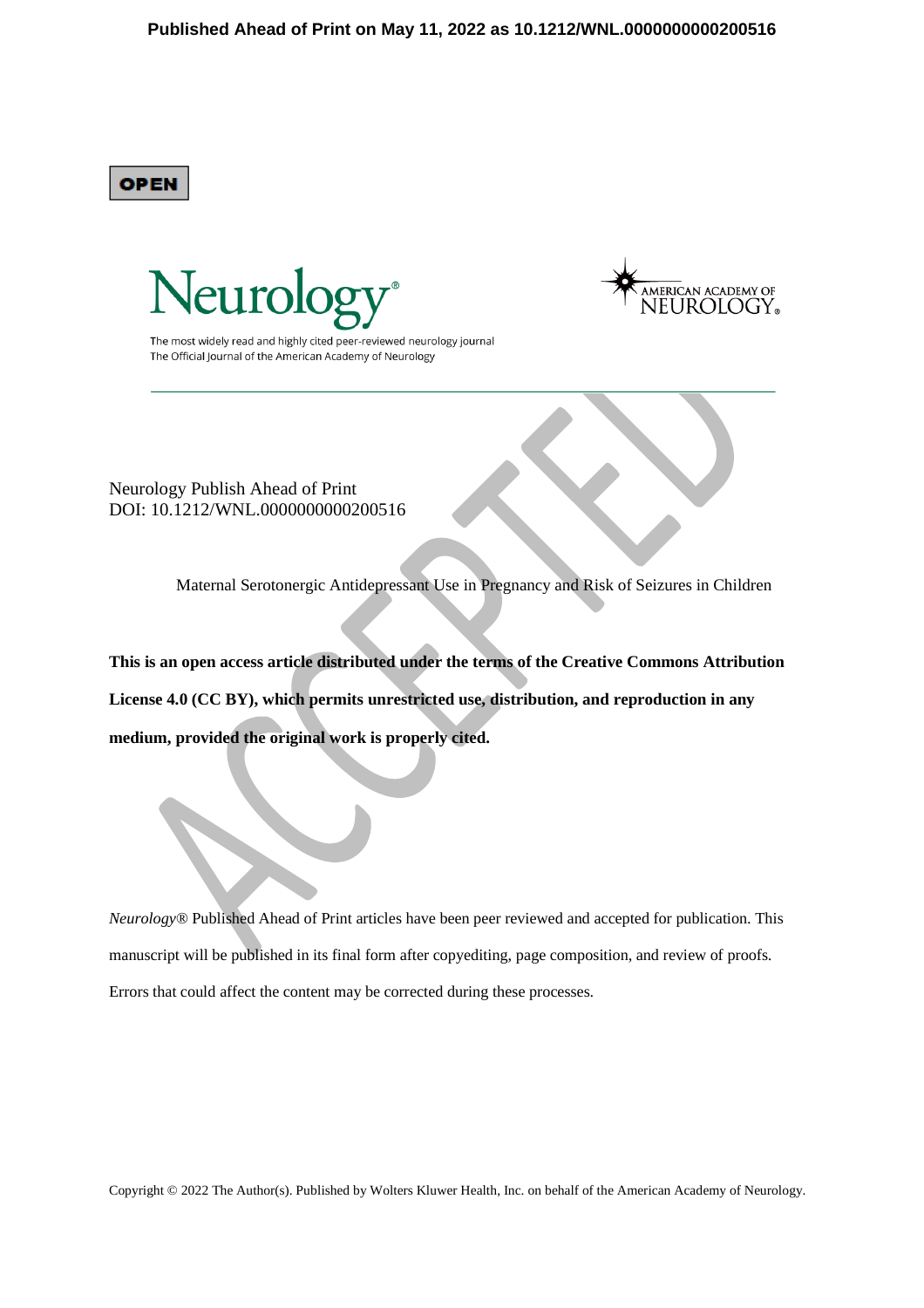**OPEN** 





The most widely read and highly cited peer-reviewed neurology journal The Official Journal of the American Academy of Neurology

Neurology Publish Ahead of Print DOI: 10.1212/WNL.0000000000200516

Maternal Serotonergic Antidepressant Use in Pregnancy and Risk of Seizures in Children

**This is an open access article distributed under the terms of the Creative Commons Attribution License 4.0 (CC BY), which permits unrestricted use, distribution, and reproduction in any medium, provided the original work is properly cited.** 

*Neurology*® Published Ahead of Print articles have been peer reviewed and accepted for publication. This manuscript will be published in its final form after copyediting, page composition, and review of proofs. Errors that could affect the content may be corrected during these processes.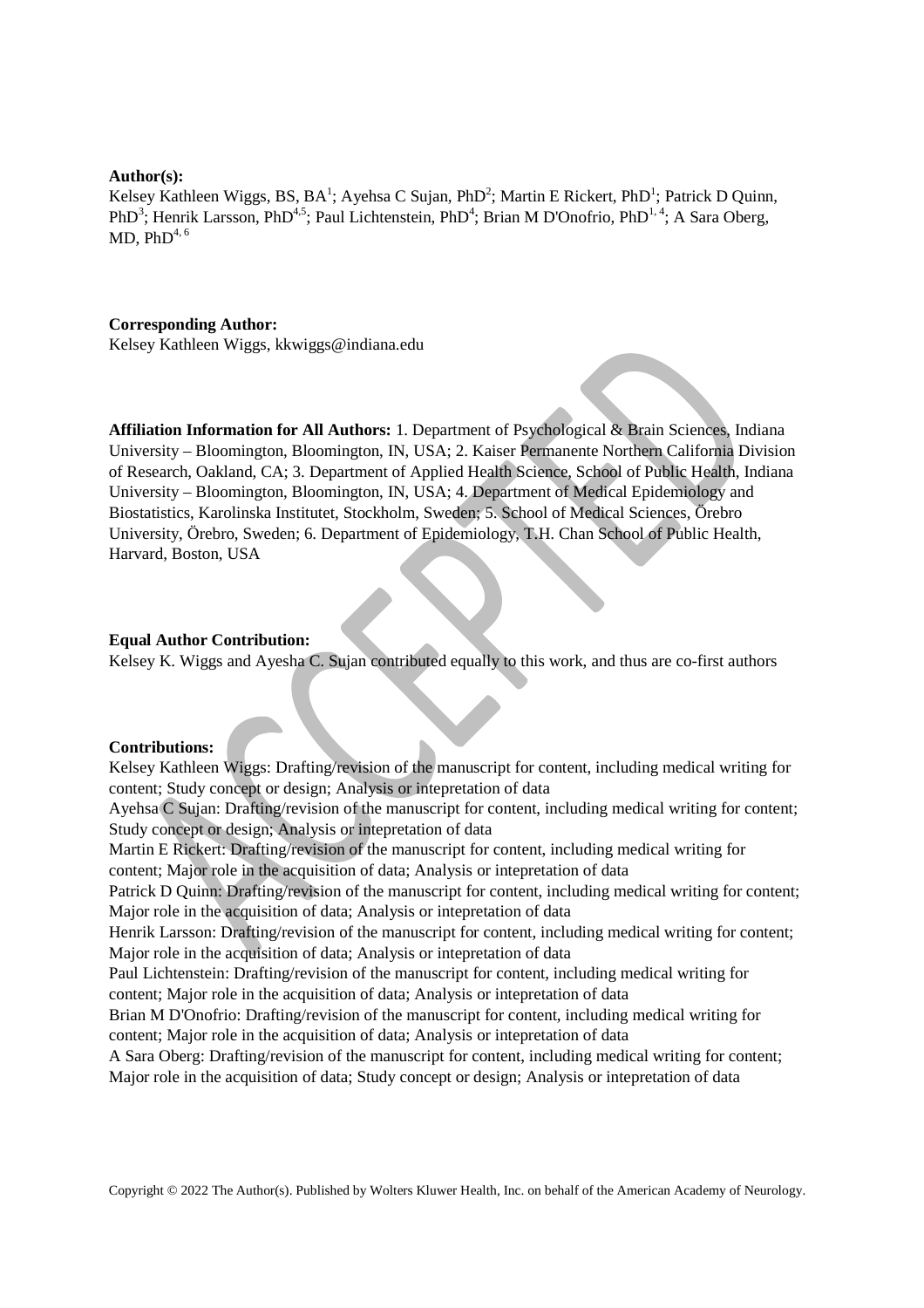#### **Author(s):**

Kelsey Kathleen Wiggs, BS, BA<sup>1</sup>; Ayehsa C Sujan, PhD<sup>2</sup>; Martin E Rickert, PhD<sup>1</sup>; Patrick D Quinn, PhD<sup>3</sup>; Henrik Larsson, PhD<sup>4,5</sup>; Paul Lichtenstein, PhD<sup>4</sup>; Brian M D'Onofrio, PhD<sup>1,4</sup>; A Sara Oberg, MD,  $PhD<sup>4, 6</sup>$ 

#### **Corresponding Author:**

Kelsey Kathleen Wiggs, kkwiggs@indiana.edu

**Affiliation Information for All Authors:** 1. Department of Psychological & Brain Sciences, Indiana University – Bloomington, Bloomington, IN, USA; 2. Kaiser Permanente Northern California Division of Research, Oakland, CA; 3. Department of Applied Health Science, School of Public Health, Indiana University – Bloomington, Bloomington, IN, USA; 4. Department of Medical Epidemiology and Biostatistics, Karolinska Institutet, Stockholm, Sweden; 5. School of Medical Sciences, Örebro University, Örebro, Sweden; 6. Department of Epidemiology, T.H. Chan School of Public Health, Harvard, Boston, USA

#### **Equal Author Contribution:**

Kelsey K. Wiggs and Ayesha C. Sujan contributed equally to this work, and thus are co-first authors

## **Contributions:**

Kelsey Kathleen Wiggs: Drafting/revision of the manuscript for content, including medical writing for content; Study concept or design; Analysis or intepretation of data Ayehsa C Sujan: Drafting/revision of the manuscript for content, including medical writing for content; Study concept or design; Analysis or intepretation of data Martin E Rickert: Drafting/revision of the manuscript for content, including medical writing for content; Major role in the acquisition of data; Analysis or intepretation of data Patrick D Quinn: Drafting/revision of the manuscript for content, including medical writing for content; Major role in the acquisition of data; Analysis or intepretation of data Henrik Larsson: Drafting/revision of the manuscript for content, including medical writing for content; Major role in the acquisition of data; Analysis or intepretation of data Paul Lichtenstein: Drafting/revision of the manuscript for content, including medical writing for content; Major role in the acquisition of data; Analysis or intepretation of data Brian M D'Onofrio: Drafting/revision of the manuscript for content, including medical writing for content; Major role in the acquisition of data; Analysis or intepretation of data A Sara Oberg: Drafting/revision of the manuscript for content, including medical writing for content; Major role in the acquisition of data; Study concept or design; Analysis or intepretation of data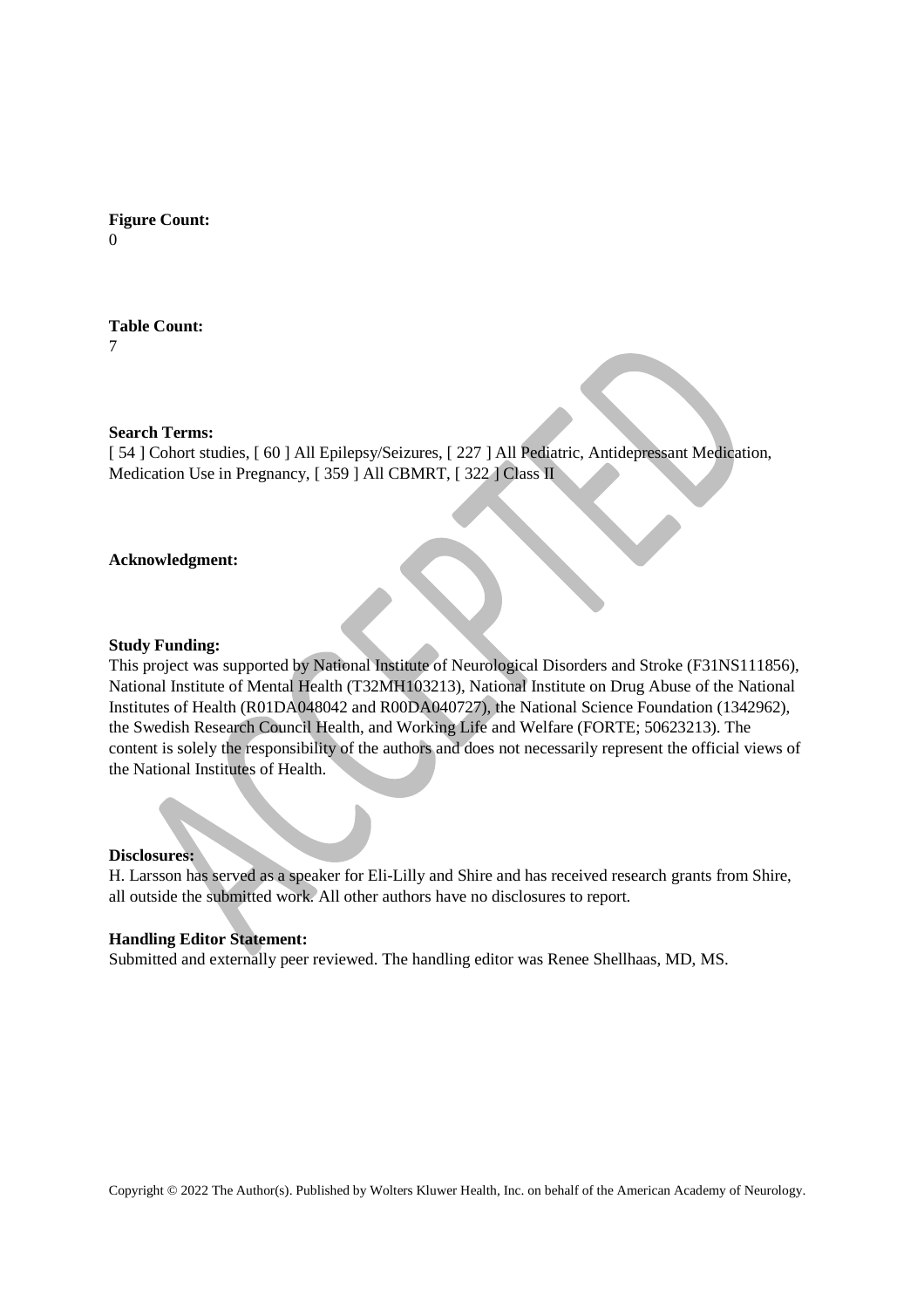**Figure Count:**  $\Omega$ 

# **Table Count:**

7

## **Search Terms:**

[ 54 ] Cohort studies, [ 60 ] All Epilepsy/Seizures, [ 227 ] All Pediatric, Antidepressant Medication, Medication Use in Pregnancy, [359] All CBMRT, [322] Class II

## **Acknowledgment:**

### **Study Funding:**

This project was supported by National Institute of Neurological Disorders and Stroke (F31NS111856), National Institute of Mental Health (T32MH103213), National Institute on Drug Abuse of the National Institutes of Health (R01DA048042 and R00DA040727), the National Science Foundation (1342962), the Swedish Research Council Health, and Working Life and Welfare (FORTE; 50623213). The content is solely the responsibility of the authors and does not necessarily represent the official views of the National Institutes of Health.

#### **Disclosures:**

H. Larsson has served as a speaker for Eli-Lilly and Shire and has received research grants from Shire, all outside the submitted work. All other authors have no disclosures to report.

### **Handling Editor Statement:**

Submitted and externally peer reviewed. The handling editor was Renee Shellhaas, MD, MS.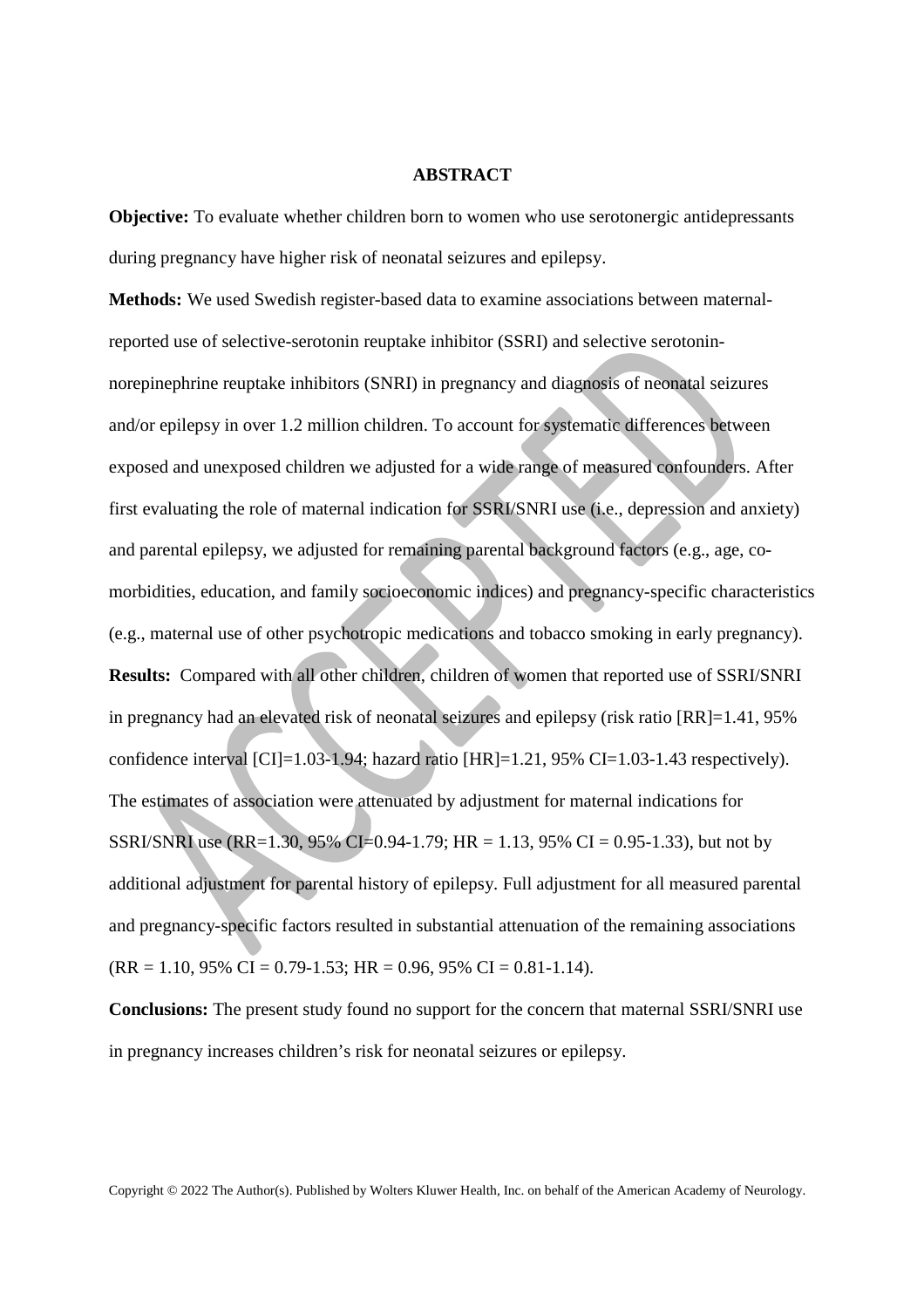#### **ABSTRACT**

**Objective:** To evaluate whether children born to women who use serotonergic antidepressants during pregnancy have higher risk of neonatal seizures and epilepsy.

**Methods:** We used Swedish register-based data to examine associations between maternalreported use of selective-serotonin reuptake inhibitor (SSRI) and selective serotoninnorepinephrine reuptake inhibitors (SNRI) in pregnancy and diagnosis of neonatal seizures and/or epilepsy in over 1.2 million children. To account for systematic differences between exposed and unexposed children we adjusted for a wide range of measured confounders. After first evaluating the role of maternal indication for SSRI/SNRI use (i.e., depression and anxiety) and parental epilepsy, we adjusted for remaining parental background factors (e.g., age, comorbidities, education, and family socioeconomic indices) and pregnancy-specific characteristics (e.g., maternal use of other psychotropic medications and tobacco smoking in early pregnancy). **Results:** Compared with all other children, children of women that reported use of SSRI/SNRI in pregnancy had an elevated risk of neonatal seizures and epilepsy (risk ratio [RR]=1.41, 95% confidence interval  $\text{[CI]}=1.03-1.94$ ; hazard ratio  $\text{[HR]}=1.21$ , 95% CI=1.03-1.43 respectively). The estimates of association were attenuated by adjustment for maternal indications for SSRI/SNRI use (RR=1.30, 95% CI=0.94-1.79; HR = 1.13, 95% CI = 0.95-1.33), but not by additional adjustment for parental history of epilepsy. Full adjustment for all measured parental and pregnancy-specific factors resulted in substantial attenuation of the remaining associations  $(RR = 1.10, 95\% \text{ CI} = 0.79 - 1.53; \text{ HR} = 0.96, 95\% \text{ CI} = 0.81 - 1.14).$ 

**Conclusions:** The present study found no support for the concern that maternal SSRI/SNRI use in pregnancy increases children's risk for neonatal seizures or epilepsy.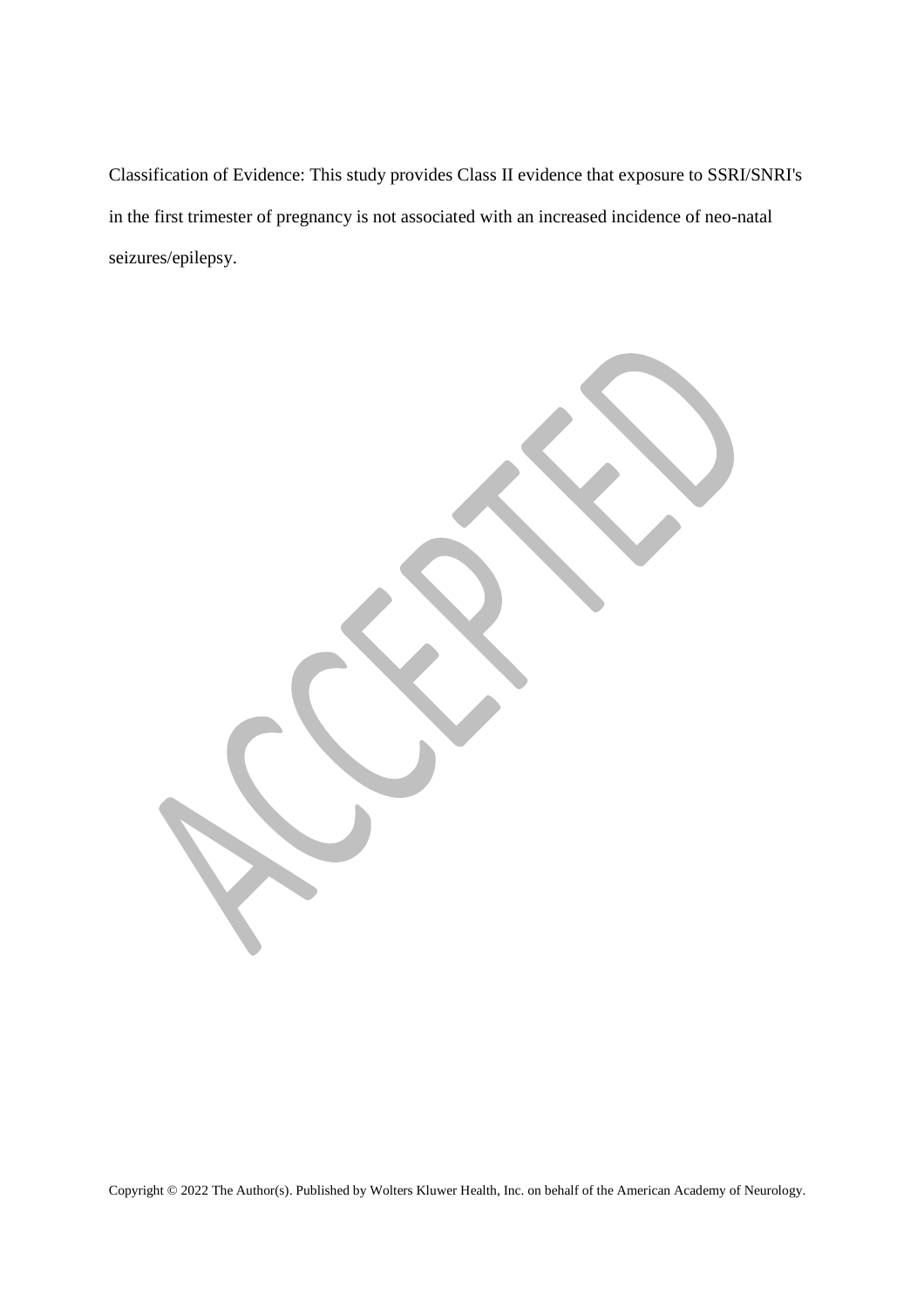Classification of Evidence: This study provides Class II evidence that exposure to SSRI/SNRI's in the first trimester of pregnancy is not associated with an increased incidence of neo-natal seizures/epilepsy.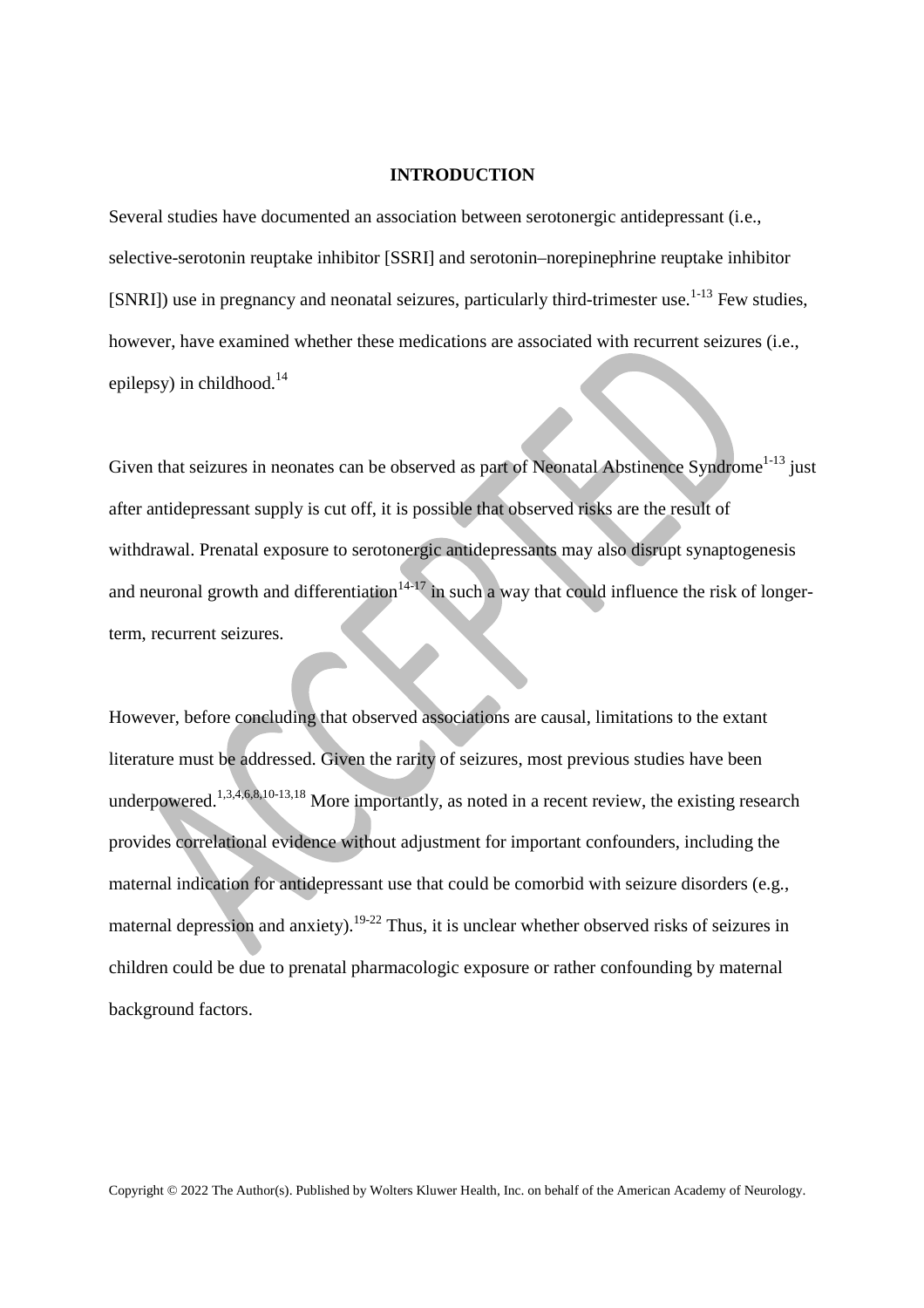#### **INTRODUCTION**

Several studies have documented an association between serotonergic antidepressant (i.e., selective-serotonin reuptake inhibitor [SSRI] and serotonin–norepinephrine reuptake inhibitor  $[SNRI]$ ) use in pregnancy and neonatal seizures, particularly third-trimester use.<sup>1-13</sup> Few studies, however, have examined whether these medications are associated with recurrent seizures (i.e., epilepsy) in childhood.<sup>14</sup>

Given that seizures in neonates can be observed as part of Neonatal Abstinence Syndrome<sup>1-13</sup> just after antidepressant supply is cut off, it is possible that observed risks are the result of withdrawal. Prenatal exposure to serotonergic antidepressants may also disrupt synaptogenesis and neuronal growth and differentiation<sup>14-17</sup> in such a way that could influence the risk of longerterm, recurrent seizures.

However, before concluding that observed associations are causal, limitations to the extant literature must be addressed. Given the rarity of seizures, most previous studies have been underpowered.<sup>1,3,4,6,8,10-13,18</sup> More importantly, as noted in a recent review, the existing research provides correlational evidence without adjustment for important confounders, including the maternal indication for antidepressant use that could be comorbid with seizure disorders (e.g., maternal depression and anxiety).<sup>19-22</sup> Thus, it is unclear whether observed risks of seizures in children could be due to prenatal pharmacologic exposure or rather confounding by maternal background factors.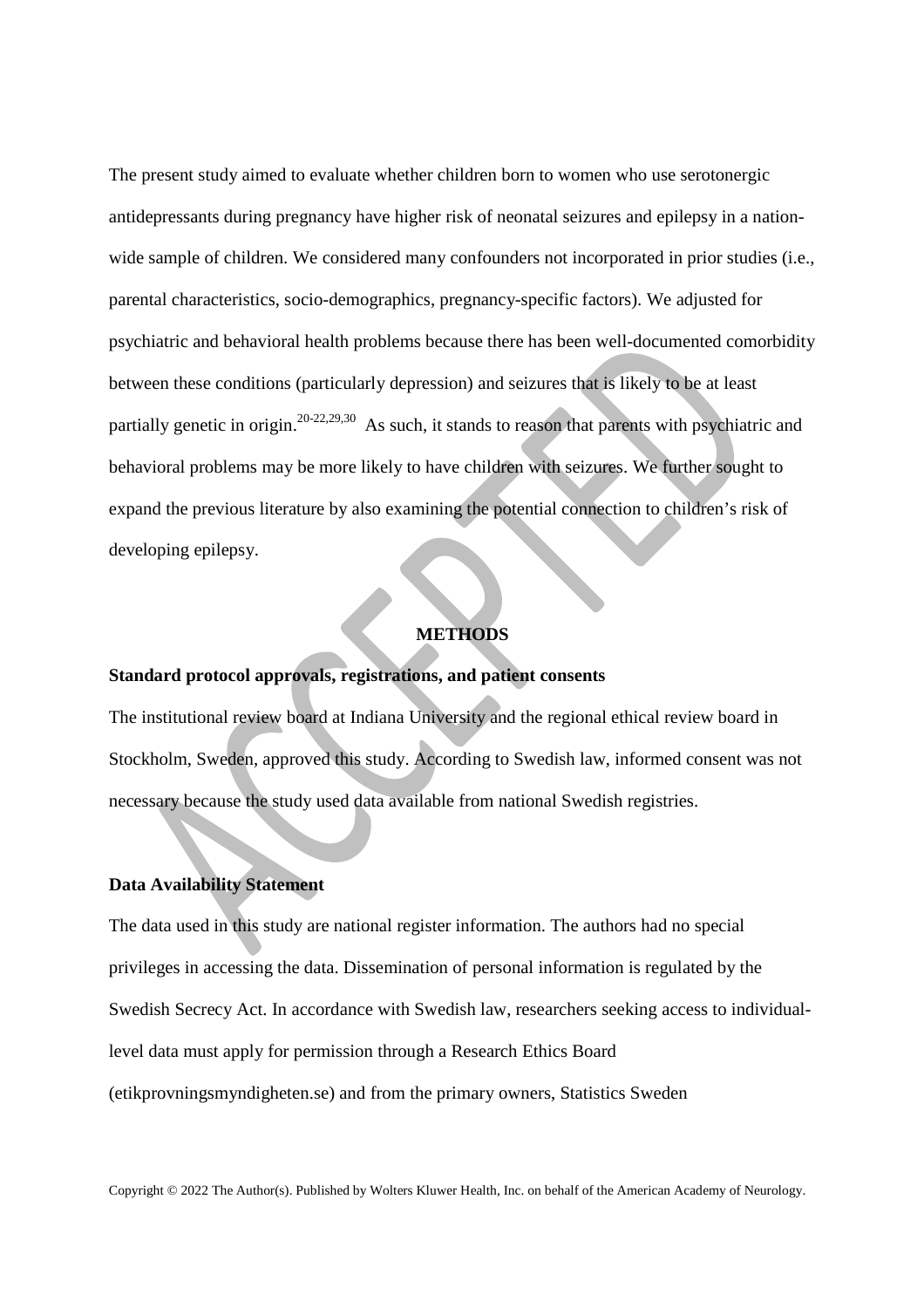The present study aimed to evaluate whether children born to women who use serotonergic antidepressants during pregnancy have higher risk of neonatal seizures and epilepsy in a nationwide sample of children. We considered many confounders not incorporated in prior studies (i.e., parental characteristics, socio-demographics, pregnancy-specific factors). We adjusted for psychiatric and behavioral health problems because there has been well-documented comorbidity between these conditions (particularly depression) and seizures that is likely to be at least partially genetic in origin.20-22,29,30 As such, it stands to reason that parents with psychiatric and behavioral problems may be more likely to have children with seizures. We further sought to expand the previous literature by also examining the potential connection to children's risk of developing epilepsy.

## **METHODS**

## **Standard protocol approvals, registrations, and patient consents**

The institutional review board at Indiana University and the regional ethical review board in Stockholm, Sweden, approved this study. According to Swedish law, informed consent was not necessary because the study used data available from national Swedish registries.

## **Data Availability Statement**

The data used in this study are national register information. The authors had no special privileges in accessing the data. Dissemination of personal information is regulated by the Swedish Secrecy Act. In accordance with Swedish law, researchers seeking access to individuallevel data must apply for permission through a Research Ethics Board (etikprovningsmyndigheten.se) and from the primary owners, Statistics Sweden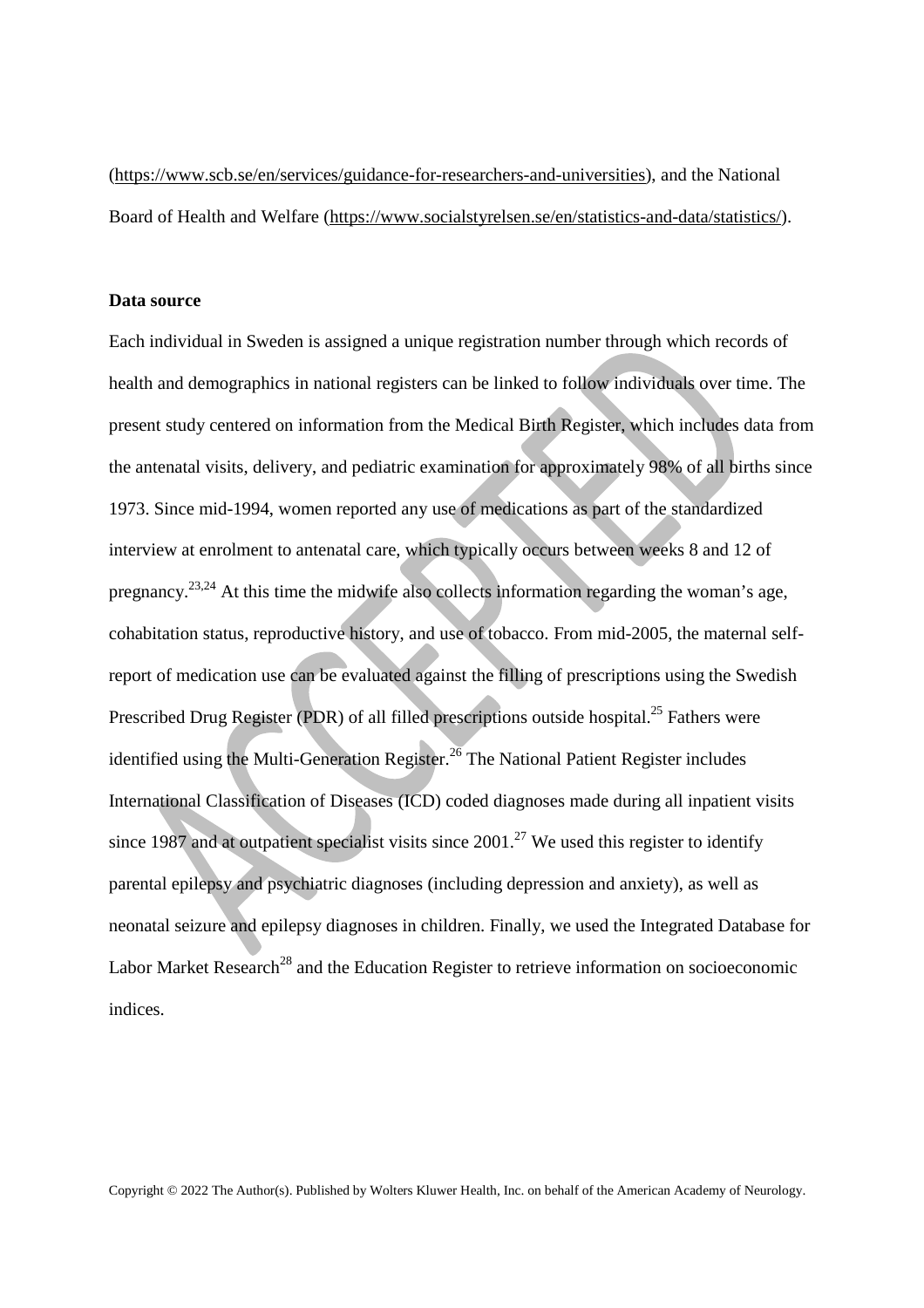(https://www.scb.se/en/services/guidance-for-researchers-and-universities), and the National Board of Health and Welfare (https://www.socialstyrelsen.se/en/statistics-and-data/statistics/).

#### **Data source**

Each individual in Sweden is assigned a unique registration number through which records of health and demographics in national registers can be linked to follow individuals over time. The present study centered on information from the Medical Birth Register, which includes data from the antenatal visits, delivery, and pediatric examination for approximately 98% of all births since 1973. Since mid-1994, women reported any use of medications as part of the standardized interview at enrolment to antenatal care, which typically occurs between weeks 8 and 12 of pregnancy.23,24 At this time the midwife also collects information regarding the woman's age, cohabitation status, reproductive history, and use of tobacco. From mid-2005, the maternal selfreport of medication use can be evaluated against the filling of prescriptions using the Swedish Prescribed Drug Register (PDR) of all filled prescriptions outside hospital.<sup>25</sup> Fathers were identified using the Multi-Generation Register.<sup>26</sup> The National Patient Register includes International Classification of Diseases (ICD) coded diagnoses made during all inpatient visits since 1987 and at outpatient specialist visits since  $2001<sup>27</sup>$  We used this register to identify parental epilepsy and psychiatric diagnoses (including depression and anxiety), as well as neonatal seizure and epilepsy diagnoses in children. Finally, we used the Integrated Database for Labor Market Research<sup>28</sup> and the Education Register to retrieve information on socioeconomic indices.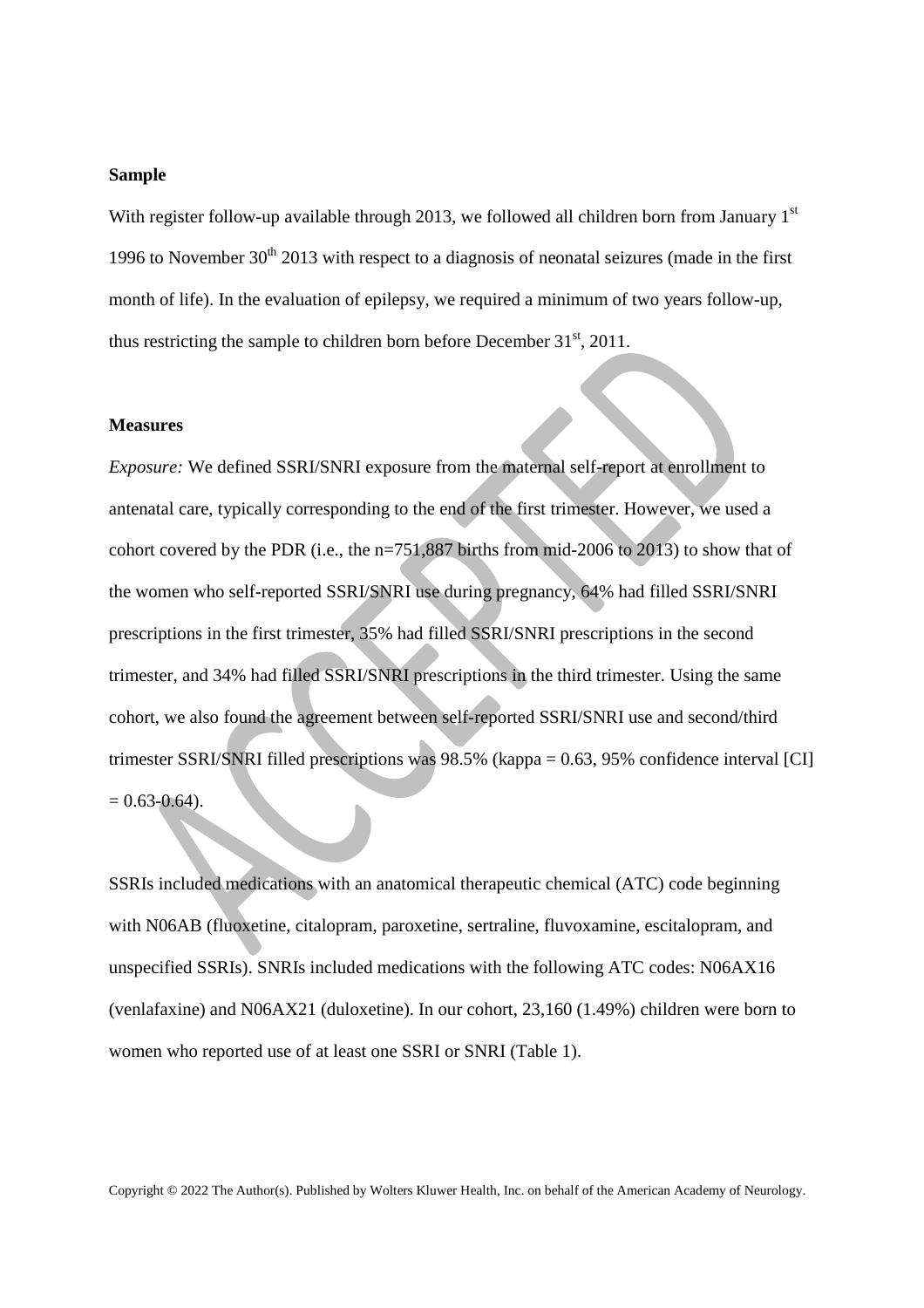#### **Sample**

With register follow-up available through 2013, we followed all children born from January  $1<sup>st</sup>$ 1996 to November  $30<sup>th</sup>$  2013 with respect to a diagnosis of neonatal seizures (made in the first month of life). In the evaluation of epilepsy, we required a minimum of two years follow-up, thus restricting the sample to children born before December  $31<sup>st</sup>$ , 2011.

#### **Measures**

*Exposure:* We defined SSRI/SNRI exposure from the maternal self-report at enrollment to antenatal care, typically corresponding to the end of the first trimester. However, we used a cohort covered by the PDR (i.e., the n=751,887 births from mid-2006 to 2013) to show that of the women who self-reported SSRI/SNRI use during pregnancy, 64% had filled SSRI/SNRI prescriptions in the first trimester, 35% had filled SSRI/SNRI prescriptions in the second trimester, and 34% had filled SSRI/SNRI prescriptions in the third trimester. Using the same cohort, we also found the agreement between self-reported SSRI/SNRI use and second/third trimester SSRI/SNRI filled prescriptions was 98.5% (kappa = 0.63, 95% confidence interval [CI]  $= 0.63 - 0.64$ ).

SSRIs included medications with an anatomical therapeutic chemical (ATC) code beginning with N06AB (fluoxetine, citalopram, paroxetine, sertraline, fluvoxamine, escitalopram, and unspecified SSRIs). SNRIs included medications with the following ATC codes: N06AX16 (venlafaxine) and N06AX21 (duloxetine). In our cohort, 23,160 (1.49%) children were born to women who reported use of at least one SSRI or SNRI (Table 1).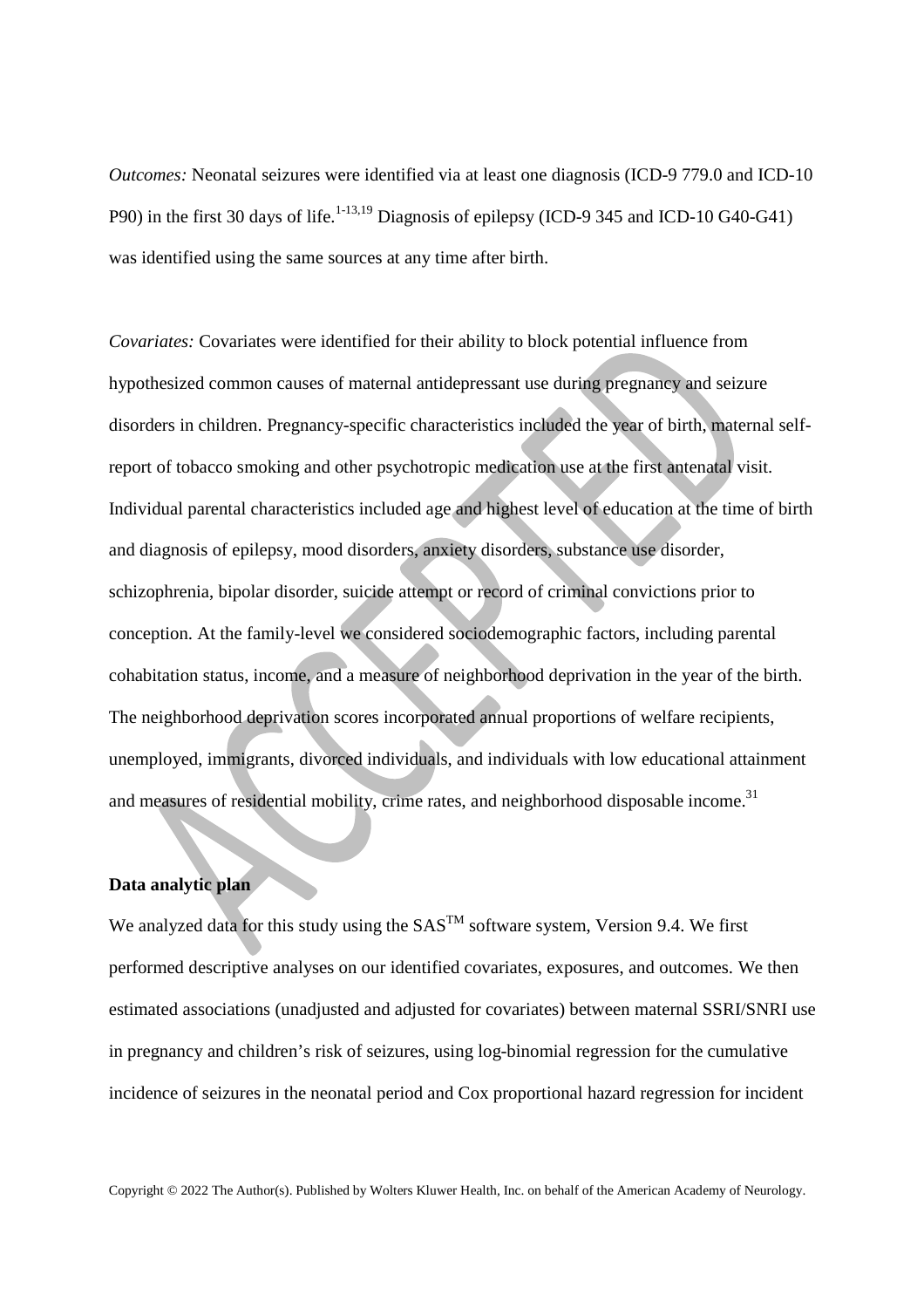*Outcomes:* Neonatal seizures were identified via at least one diagnosis (ICD-9 779.0 and ICD-10 P90) in the first 30 days of life.<sup>1-13,19</sup> Diagnosis of epilepsy (ICD-9 345 and ICD-10 G40-G41) was identified using the same sources at any time after birth.

*Covariates:* Covariates were identified for their ability to block potential influence from hypothesized common causes of maternal antidepressant use during pregnancy and seizure disorders in children. Pregnancy-specific characteristics included the year of birth, maternal selfreport of tobacco smoking and other psychotropic medication use at the first antenatal visit. Individual parental characteristics included age and highest level of education at the time of birth and diagnosis of epilepsy, mood disorders, anxiety disorders, substance use disorder, schizophrenia, bipolar disorder, suicide attempt or record of criminal convictions prior to conception. At the family-level we considered sociodemographic factors, including parental cohabitation status, income, and a measure of neighborhood deprivation in the year of the birth. The neighborhood deprivation scores incorporated annual proportions of welfare recipients, unemployed, immigrants, divorced individuals, and individuals with low educational attainment and measures of residential mobility, crime rates, and neighborhood disposable income.<sup>31</sup>

## **Data analytic plan**

We analyzed data for this study using the  $SAS^{TM}$  software system, Version 9.4. We first performed descriptive analyses on our identified covariates, exposures, and outcomes. We then estimated associations (unadjusted and adjusted for covariates) between maternal SSRI/SNRI use in pregnancy and children's risk of seizures, using log-binomial regression for the cumulative incidence of seizures in the neonatal period and Cox proportional hazard regression for incident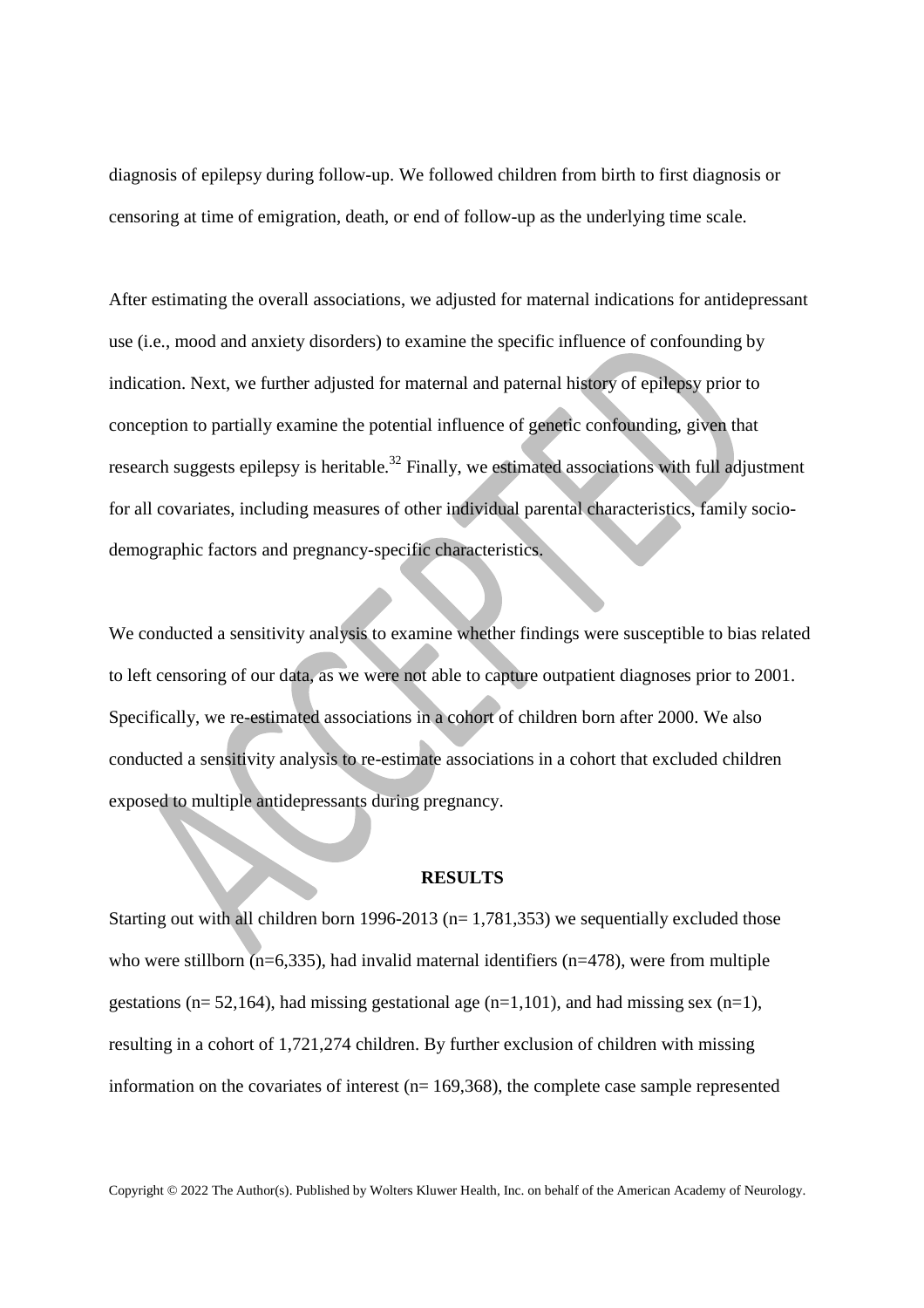diagnosis of epilepsy during follow-up. We followed children from birth to first diagnosis or censoring at time of emigration, death, or end of follow-up as the underlying time scale.

After estimating the overall associations, we adjusted for maternal indications for antidepressant use (i.e., mood and anxiety disorders) to examine the specific influence of confounding by indication. Next, we further adjusted for maternal and paternal history of epilepsy prior to conception to partially examine the potential influence of genetic confounding, given that research suggests epilepsy is heritable.<sup>32</sup> Finally, we estimated associations with full adjustment for all covariates, including measures of other individual parental characteristics, family sociodemographic factors and pregnancy-specific characteristics.

We conducted a sensitivity analysis to examine whether findings were susceptible to bias related to left censoring of our data, as we were not able to capture outpatient diagnoses prior to 2001. Specifically, we re-estimated associations in a cohort of children born after 2000. We also conducted a sensitivity analysis to re-estimate associations in a cohort that excluded children exposed to multiple antidepressants during pregnancy.

#### **RESULTS**

Starting out with all children born 1996-2013 ( $n= 1,781,353$ ) we sequentially excluded those who were stillborn ( $n=6,335$ ), had invalid maternal identifiers ( $n=478$ ), were from multiple gestations ( $n= 52,164$ ), had missing gestational age ( $n=1,101$ ), and had missing sex ( $n=1$ ), resulting in a cohort of 1,721,274 children. By further exclusion of children with missing information on the covariates of interest ( $n= 169,368$ ), the complete case sample represented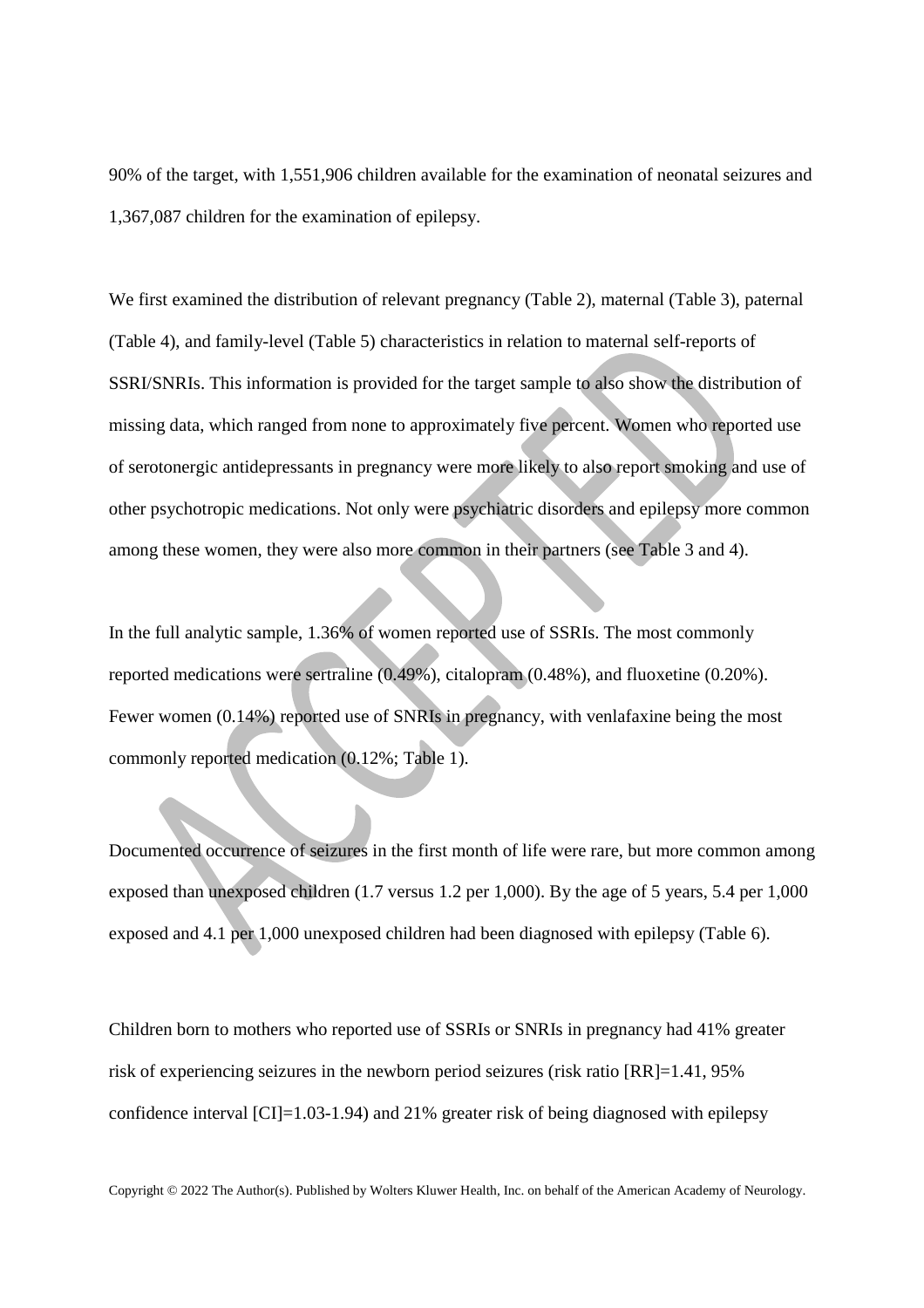90% of the target, with 1,551,906 children available for the examination of neonatal seizures and 1,367,087 children for the examination of epilepsy.

We first examined the distribution of relevant pregnancy (Table 2), maternal (Table 3), paternal (Table 4), and family-level (Table 5) characteristics in relation to maternal self-reports of SSRI/SNRIs. This information is provided for the target sample to also show the distribution of missing data, which ranged from none to approximately five percent. Women who reported use of serotonergic antidepressants in pregnancy were more likely to also report smoking and use of other psychotropic medications. Not only were psychiatric disorders and epilepsy more common among these women, they were also more common in their partners (see Table 3 and 4).

In the full analytic sample, 1.36% of women reported use of SSRIs. The most commonly reported medications were sertraline (0.49%), citalopram (0.48%), and fluoxetine (0.20%). Fewer women (0.14%) reported use of SNRIs in pregnancy, with venlafaxine being the most commonly reported medication (0.12%; Table 1).

Documented occurrence of seizures in the first month of life were rare, but more common among exposed than unexposed children (1.7 versus 1.2 per 1,000). By the age of 5 years, 5.4 per 1,000 exposed and 4.1 per 1,000 unexposed children had been diagnosed with epilepsy (Table 6).

Children born to mothers who reported use of SSRIs or SNRIs in pregnancy had 41% greater risk of experiencing seizures in the newborn period seizures (risk ratio [RR]=1.41, 95% confidence interval [CI]=1.03-1.94) and 21% greater risk of being diagnosed with epilepsy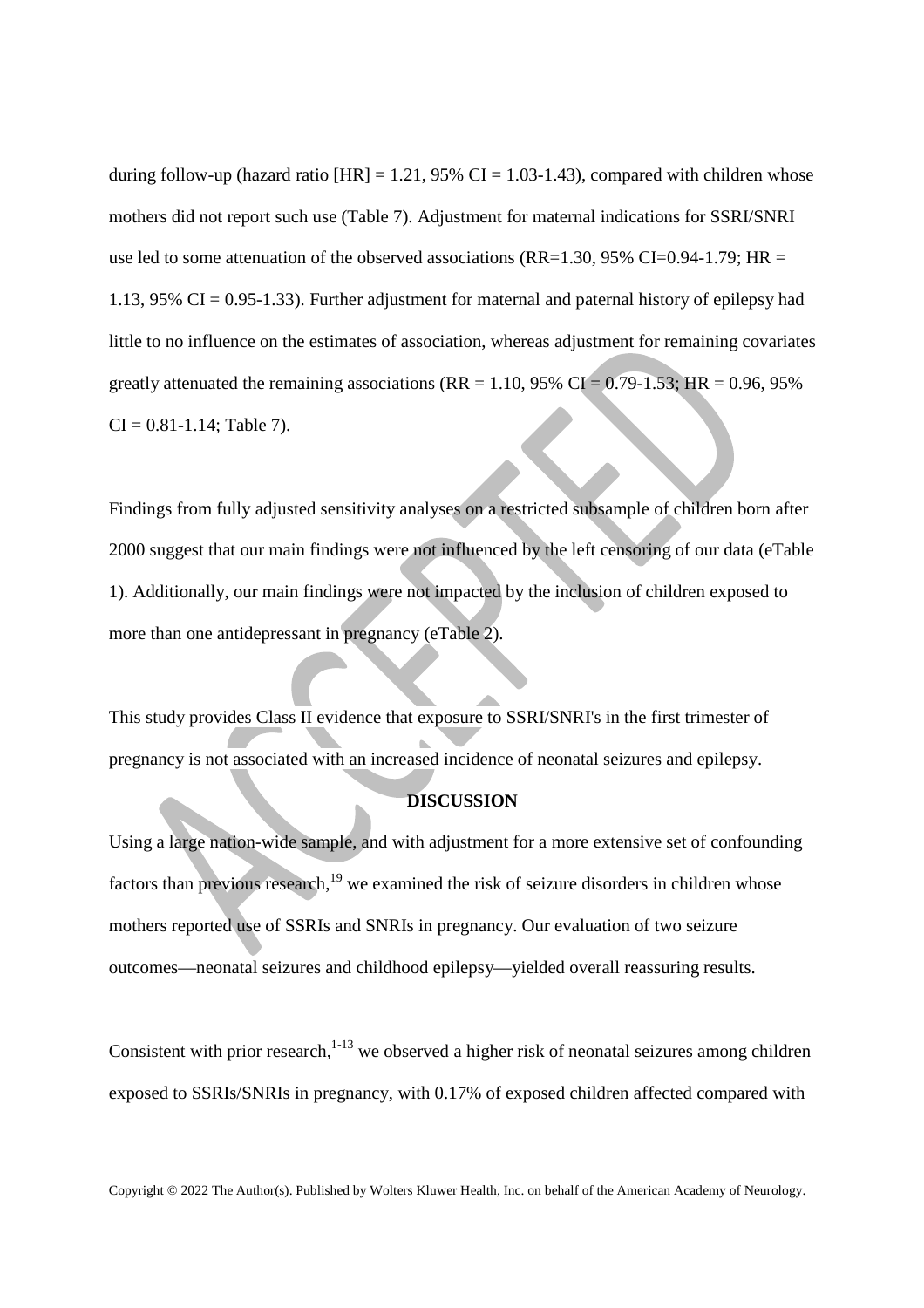during follow-up (hazard ratio  $[HR] = 1.21$ , 95% CI = 1.03-1.43), compared with children whose mothers did not report such use (Table 7). Adjustment for maternal indications for SSRI/SNRI use led to some attenuation of the observed associations (RR=1.30, 95% CI=0.94-1.79; HR = 1.13, 95% CI =  $0.95$ -1.33). Further adjustment for maternal and paternal history of epilepsy had little to no influence on the estimates of association, whereas adjustment for remaining covariates greatly attenuated the remaining associations ( $RR = 1.10$ , 95%  $CI = 0.79 - 1.53$ ;  $HR = 0.96$ , 95%  $CI = 0.81 - 1.14$ ; Table 7).

Findings from fully adjusted sensitivity analyses on a restricted subsample of children born after 2000 suggest that our main findings were not influenced by the left censoring of our data (eTable 1). Additionally, our main findings were not impacted by the inclusion of children exposed to more than one antidepressant in pregnancy (eTable 2).

This study provides Class II evidence that exposure to SSRI/SNRI's in the first trimester of pregnancy is not associated with an increased incidence of neonatal seizures and epilepsy.

# **DISCUSSION**

Using a large nation-wide sample, and with adjustment for a more extensive set of confounding factors than previous research, $19$  we examined the risk of seizure disorders in children whose mothers reported use of SSRIs and SNRIs in pregnancy. Our evaluation of two seizure outcomes—neonatal seizures and childhood epilepsy—yielded overall reassuring results.

Consistent with prior research, $1-13$  we observed a higher risk of neonatal seizures among children exposed to SSRIs/SNRIs in pregnancy, with 0.17% of exposed children affected compared with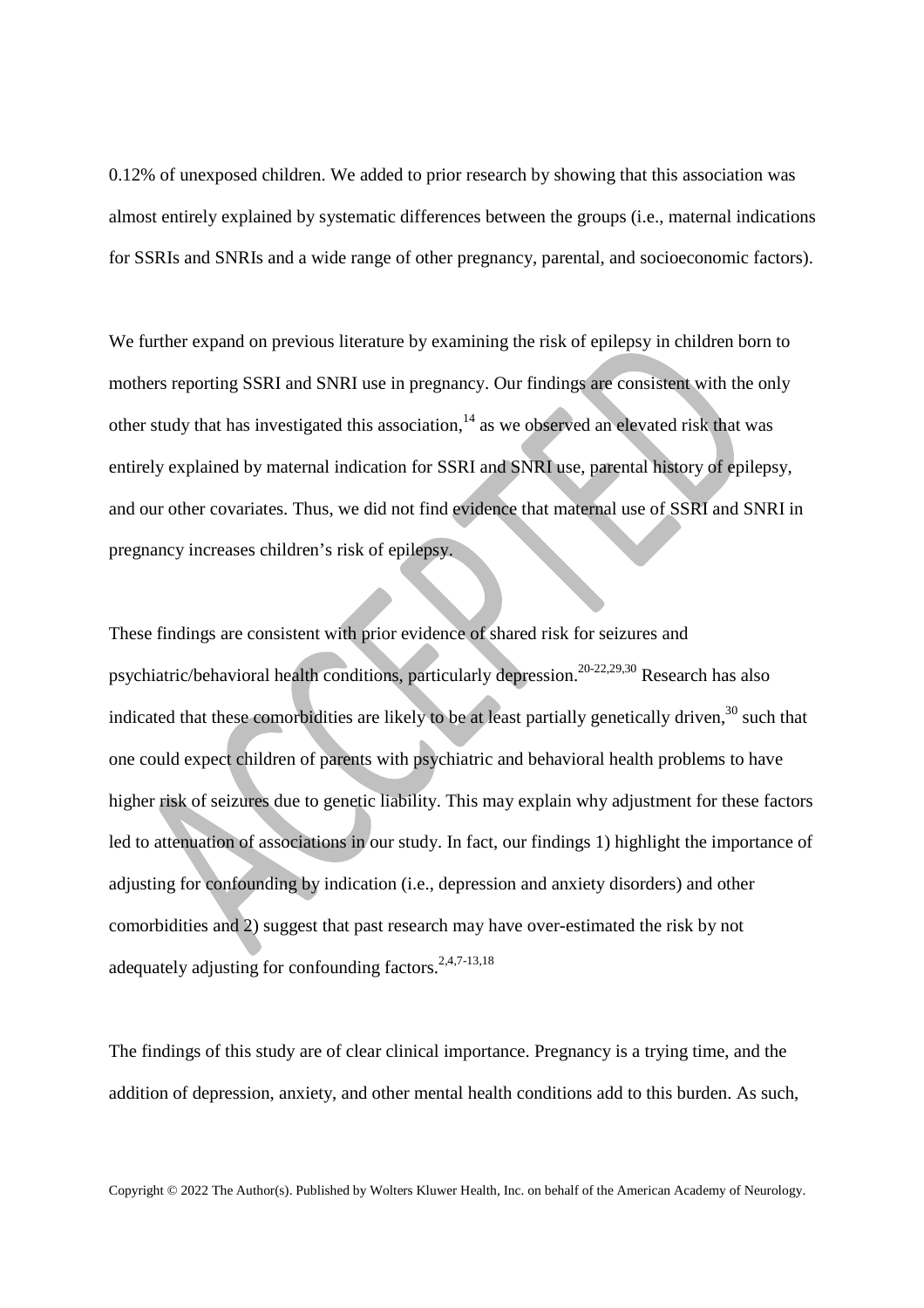0.12% of unexposed children. We added to prior research by showing that this association was almost entirely explained by systematic differences between the groups (i.e., maternal indications for SSRIs and SNRIs and a wide range of other pregnancy, parental, and socioeconomic factors).

We further expand on previous literature by examining the risk of epilepsy in children born to mothers reporting SSRI and SNRI use in pregnancy. Our findings are consistent with the only other study that has investigated this association, $14$  as we observed an elevated risk that was entirely explained by maternal indication for SSRI and SNRI use, parental history of epilepsy, and our other covariates. Thus, we did not find evidence that maternal use of SSRI and SNRI in pregnancy increases children's risk of epilepsy.

These findings are consistent with prior evidence of shared risk for seizures and psychiatric/behavioral health conditions, particularly depression.20-22,29,30 Research has also indicated that these comorbidities are likely to be at least partially genetically driven,<sup>30</sup> such that one could expect children of parents with psychiatric and behavioral health problems to have higher risk of seizures due to genetic liability. This may explain why adjustment for these factors led to attenuation of associations in our study. In fact, our findings 1) highlight the importance of adjusting for confounding by indication (i.e., depression and anxiety disorders) and other comorbidities and 2) suggest that past research may have over-estimated the risk by not adequately adjusting for confounding factors.  $2,4,7-13,18$ 

The findings of this study are of clear clinical importance. Pregnancy is a trying time, and the addition of depression, anxiety, and other mental health conditions add to this burden. As such,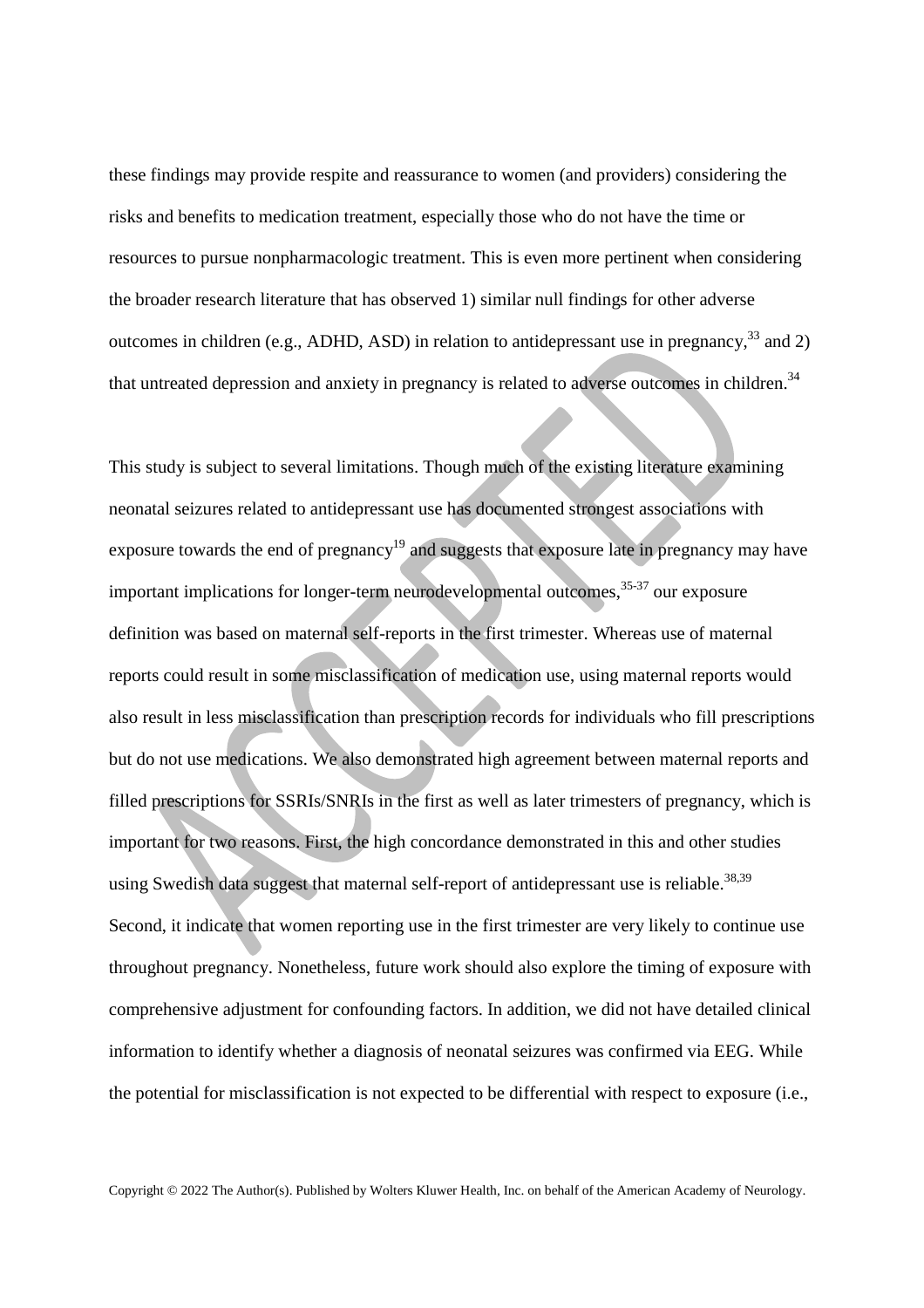these findings may provide respite and reassurance to women (and providers) considering the risks and benefits to medication treatment, especially those who do not have the time or resources to pursue nonpharmacologic treatment. This is even more pertinent when considering the broader research literature that has observed 1) similar null findings for other adverse outcomes in children (e.g., ADHD, ASD) in relation to antidepressant use in pregnancy,  $33$  and 2) that untreated depression and anxiety in pregnancy is related to adverse outcomes in children.<sup>34</sup>

This study is subject to several limitations. Though much of the existing literature examining neonatal seizures related to antidepressant use has documented strongest associations with exposure towards the end of pregnancy<sup>19</sup> and suggests that exposure late in pregnancy may have important implications for longer-term neurodevelopmental outcomes,  $35-37$  our exposure definition was based on maternal self-reports in the first trimester. Whereas use of maternal reports could result in some misclassification of medication use, using maternal reports would also result in less misclassification than prescription records for individuals who fill prescriptions but do not use medications. We also demonstrated high agreement between maternal reports and filled prescriptions for SSRIs/SNRIs in the first as well as later trimesters of pregnancy, which is important for two reasons. First, the high concordance demonstrated in this and other studies using Swedish data suggest that maternal self-report of antidepressant use is reliable.<sup>38,39</sup> Second, it indicate that women reporting use in the first trimester are very likely to continue use throughout pregnancy. Nonetheless, future work should also explore the timing of exposure with comprehensive adjustment for confounding factors. In addition, we did not have detailed clinical information to identify whether a diagnosis of neonatal seizures was confirmed via EEG. While the potential for misclassification is not expected to be differential with respect to exposure (i.e.,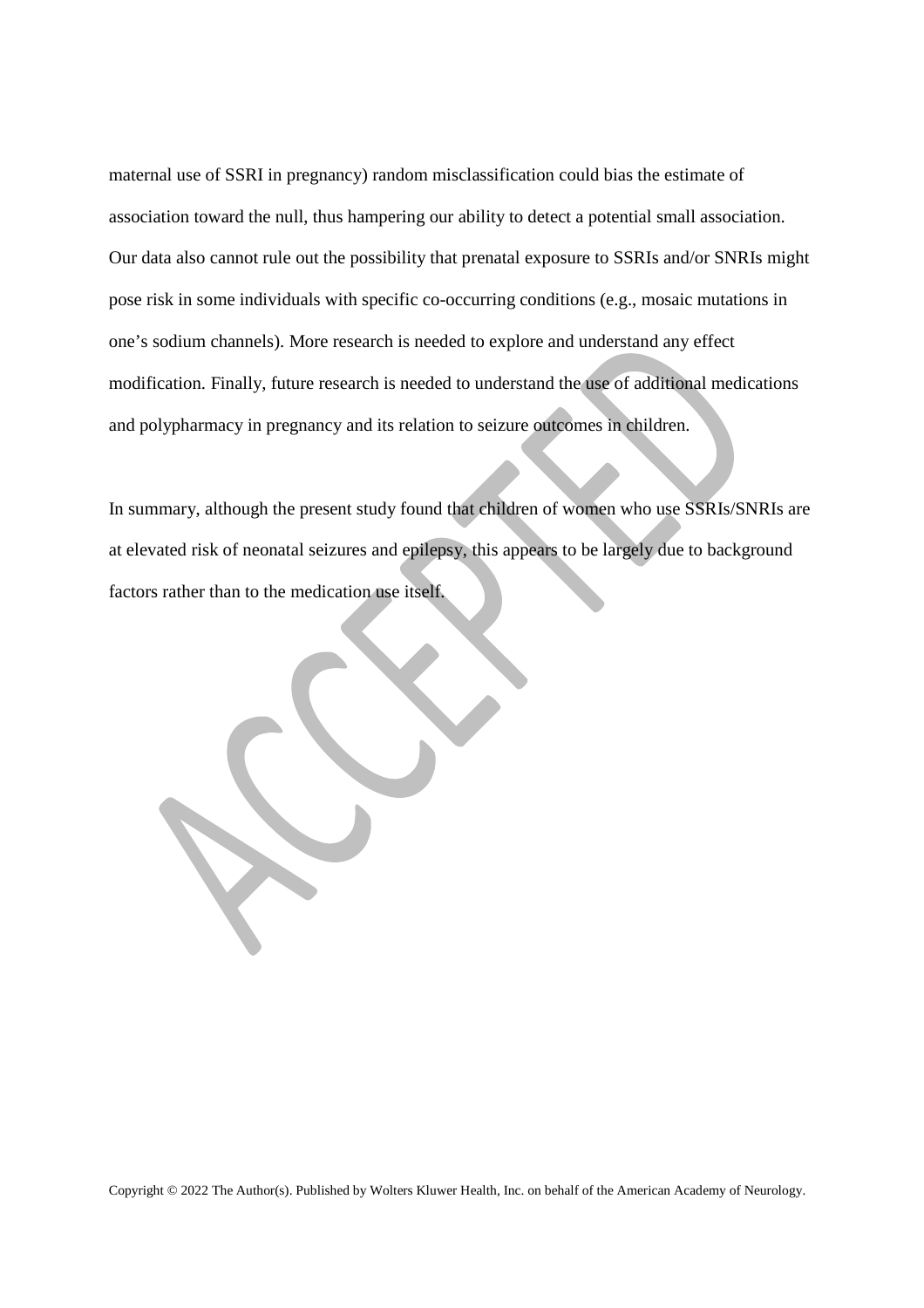maternal use of SSRI in pregnancy) random misclassification could bias the estimate of association toward the null, thus hampering our ability to detect a potential small association. Our data also cannot rule out the possibility that prenatal exposure to SSRIs and/or SNRIs might pose risk in some individuals with specific co-occurring conditions (e.g., mosaic mutations in one's sodium channels). More research is needed to explore and understand any effect modification. Finally, future research is needed to understand the use of additional medications and polypharmacy in pregnancy and its relation to seizure outcomes in children.

In summary, although the present study found that children of women who use SSRIs/SNRIs are at elevated risk of neonatal seizures and epilepsy, this appears to be largely due to background factors rather than to the medication use itself.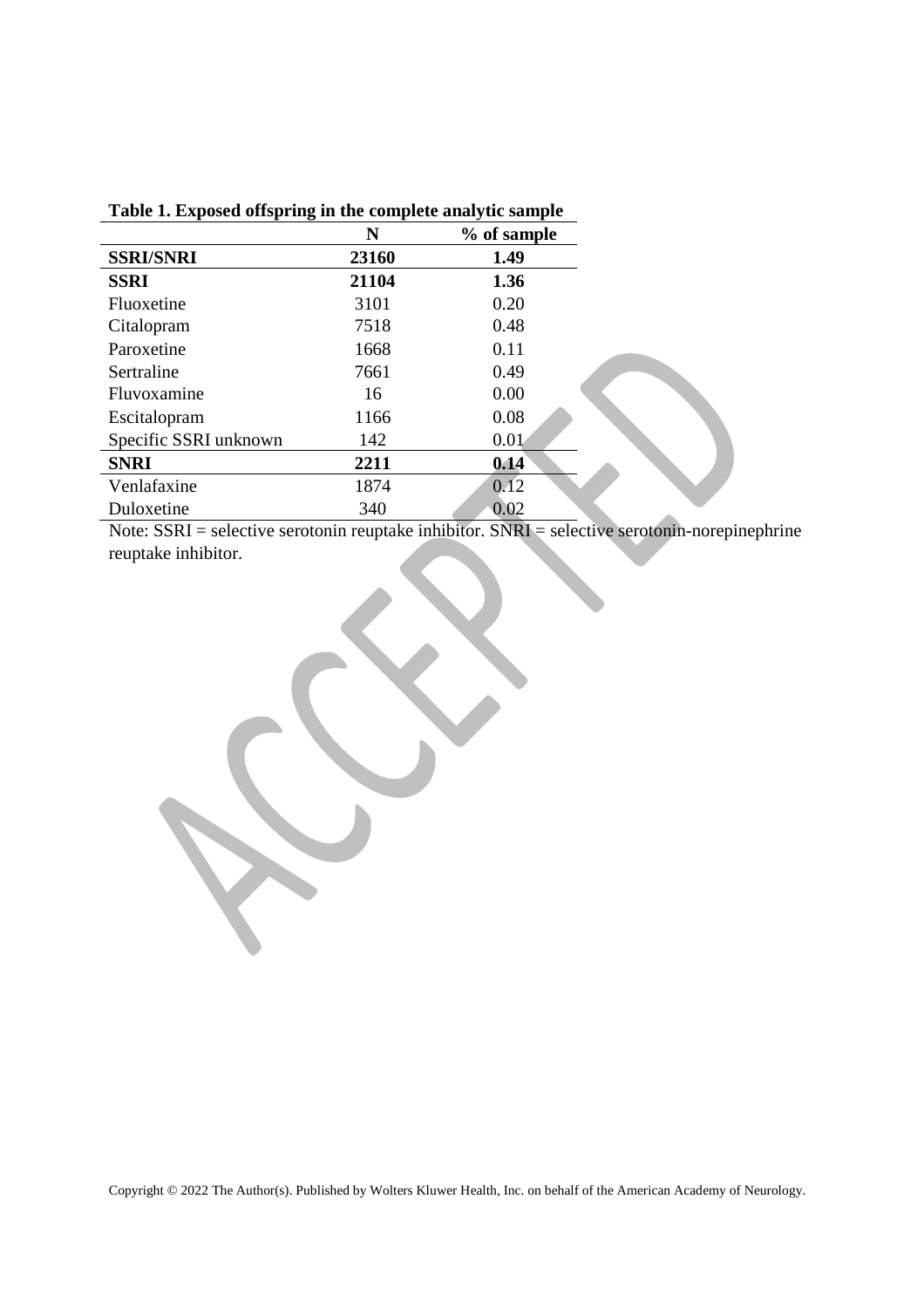|                       | N     | % of sample |
|-----------------------|-------|-------------|
| <b>SSRI/SNRI</b>      | 23160 | 1.49        |
| <b>SSRI</b>           | 21104 | 1.36        |
| Fluoxetine            | 3101  | 0.20        |
| Citalopram            | 7518  | 0.48        |
| Paroxetine            | 1668  | 0.11        |
| Sertraline            | 7661  | 0.49        |
| Fluvoxamine           | 16    | 0.00        |
| Escitalopram          | 1166  | 0.08        |
| Specific SSRI unknown | 142   | 0.01        |
| <b>SNRI</b>           | 2211  | 0.14        |
| Venlafaxine           | 1874  | 0.12        |
| Duloxetine            | 340   | 0.02        |

## **Table 1. Exposed offspring in the complete analytic sample**

Note: SSRI = selective serotonin reuptake inhibitor. SNRI = selective serotonin-norepinephrine reuptake inhibitor.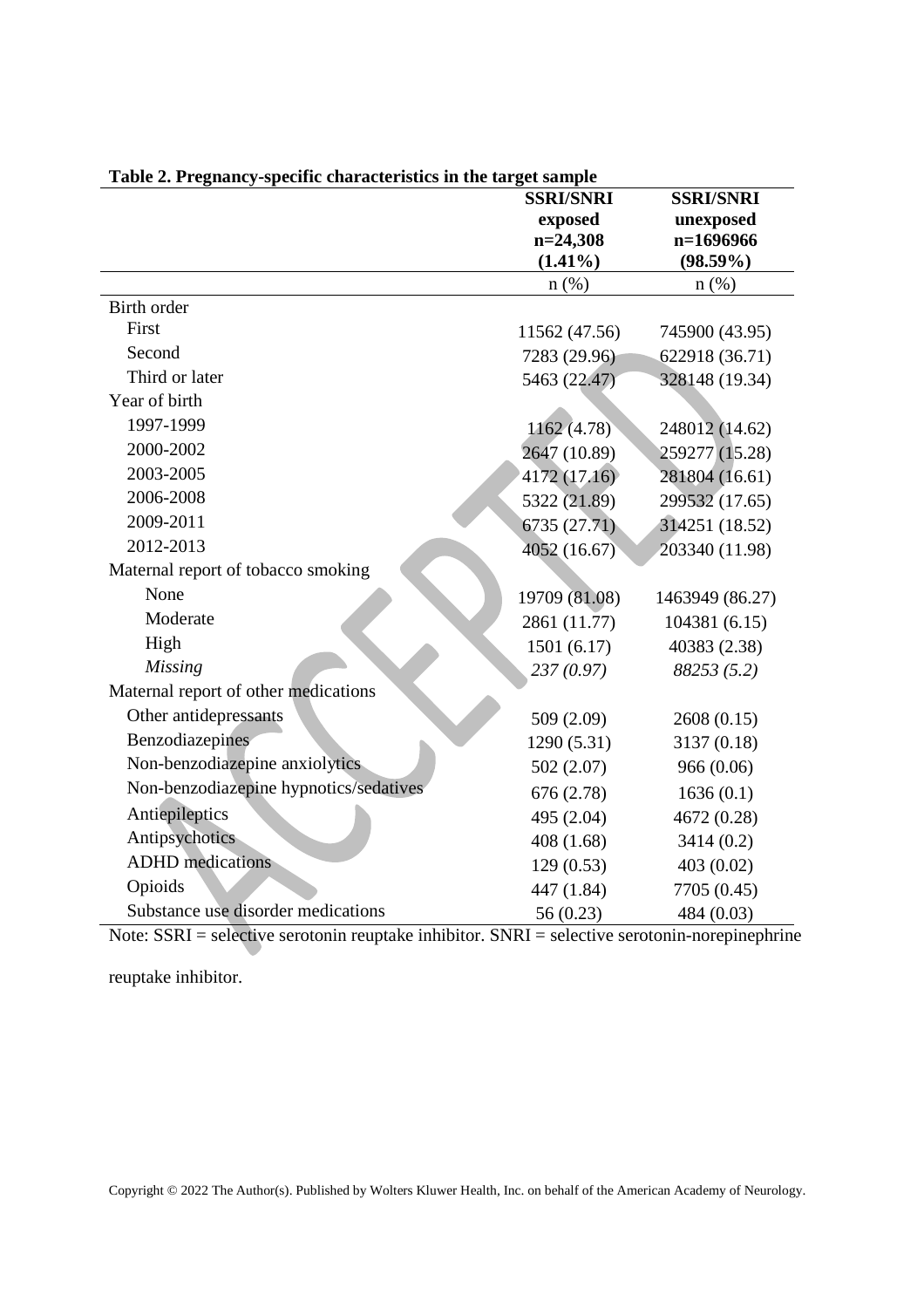| able at 1 regnancy specific enargeteristics in the target sample | <b>SSRI/SNRI</b> | <b>SSRI/SNRI</b> |
|------------------------------------------------------------------|------------------|------------------|
|                                                                  | exposed          | unexposed        |
|                                                                  | $n=24,308$       | n=1696966        |
|                                                                  | $(1.41\%)$       | $(98.59\%)$      |
|                                                                  | $n$ (%)          | n(%)             |
| <b>Birth order</b>                                               |                  |                  |
| First                                                            | 11562 (47.56)    | 745900 (43.95)   |
| Second                                                           | 7283 (29.96)     | 622918 (36.71)   |
| Third or later                                                   | 5463 (22.47)     | 328148 (19.34)   |
| Year of birth                                                    |                  |                  |
| 1997-1999                                                        | 1162(4.78)       | 248012 (14.62)   |
| 2000-2002                                                        | 2647 (10.89)     | 259277 (15.28)   |
| 2003-2005                                                        | 4172 (17.16)     | 281804 (16.61)   |
| 2006-2008                                                        | 5322 (21.89)     | 299532 (17.65)   |
| 2009-2011                                                        | 6735(27.71)      | 314251 (18.52)   |
| 2012-2013                                                        | 4052 (16.67)     | 203340 (11.98)   |
| Maternal report of tobacco smoking                               |                  |                  |
| None                                                             | 19709 (81.08)    | 1463949 (86.27)  |
| Moderate                                                         | 2861 (11.77)     | 104381 (6.15)    |
| High                                                             | 1501(6.17)       | 40383 (2.38)     |
| <b>Missing</b>                                                   | 237(0.97)        | 88253(5.2)       |
| Maternal report of other medications                             |                  |                  |
| Other antidepressants                                            | 509 (2.09)       | 2608 (0.15)      |
| Benzodiazepines                                                  | 1290 (5.31)      | 3137 (0.18)      |
| Non-benzodiazepine anxiolytics                                   | 502(2.07)        | 966 (0.06)       |
| Non-benzodiazepine hypnotics/sedatives                           | 676(2.78)        | 1636(0.1)        |
| Antiepileptics                                                   | 495 (2.04)       | 4672 (0.28)      |
| Antipsychotics                                                   | 408(1.68)        | 3414(0.2)        |
| <b>ADHD</b> medications                                          | 129(0.53)        | 403 (0.02)       |
| Opioids                                                          | 447 (1.84)       | 7705 (0.45)      |
| Substance use disorder medications                               | 56 (0.23)        | 484 (0.03)       |

**Table 2. Pregnancy-specific characteristics in the target sample**

Note: SSRI = selective serotonin reuptake inhibitor. SNRI = selective serotonin-norepinephrine

reuptake inhibitor.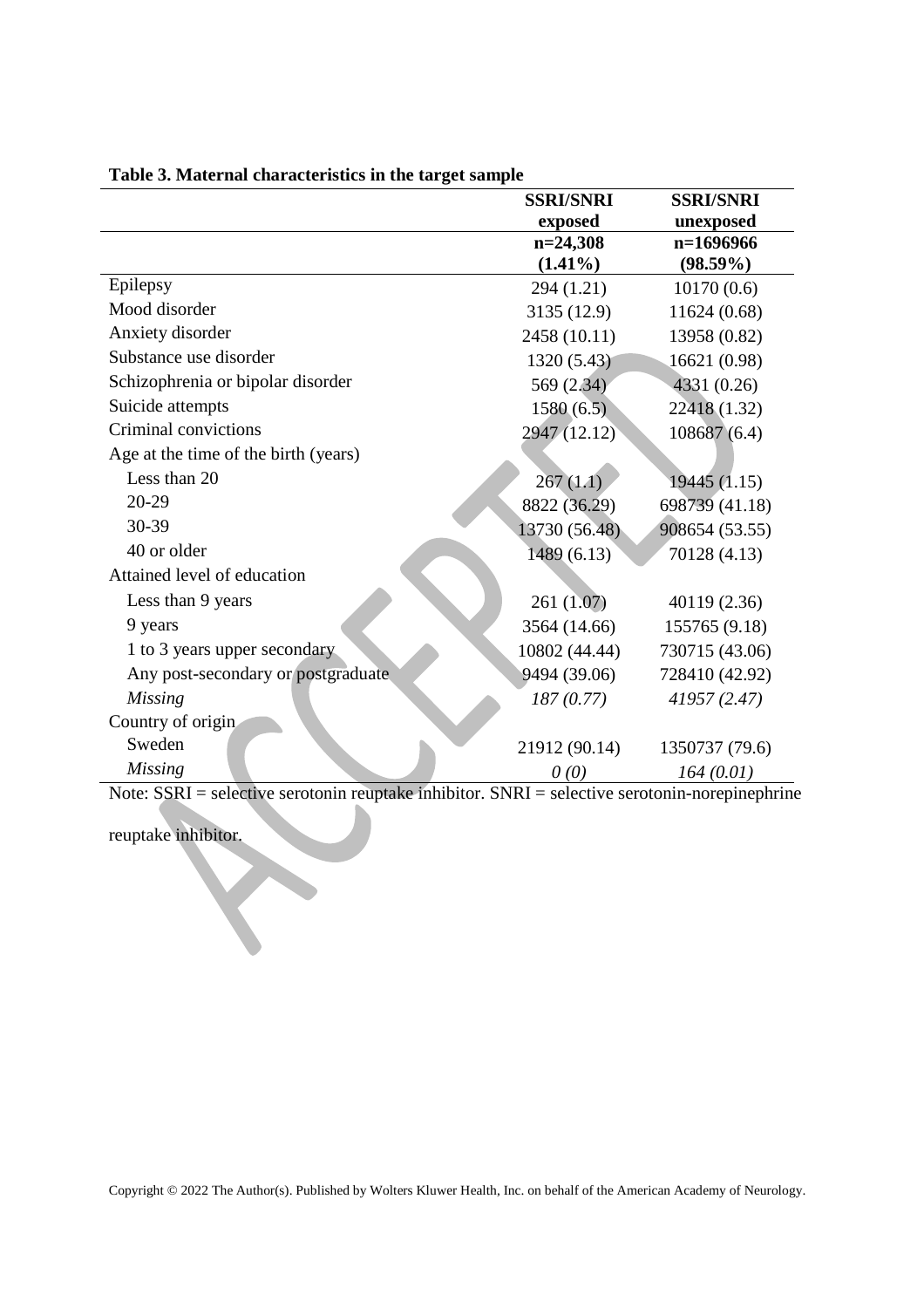| <b>SSRI/SNRI</b> | <b>SSRI/SNRI</b>         |
|------------------|--------------------------|
| exposed          | unexposed                |
|                  | n=1696966                |
|                  | $(98.59\%)$              |
| 294 (1.21)       | 10170(0.6)               |
| 3135 (12.9)      | 11624 (0.68)             |
| 2458 (10.11)     | 13958 (0.82)             |
| 1320 (5.43)      | 16621 (0.98)             |
| 569 (2.34)       | 4331 (0.26)              |
| 1580(6.5)        | 22418 (1.32)             |
| 2947 (12.12)     | 108687(6.4)              |
|                  |                          |
| 267(1.1)         | 19445(1.15)              |
| 8822 (36.29)     | 698739 (41.18)           |
| 13730 (56.48)    | 908654 (53.55)           |
| 1489 (6.13)      | 70128 (4.13)             |
|                  |                          |
| 261(1.07)        | 40119 (2.36)             |
| 3564 (14.66)     | 155765 (9.18)            |
| 10802 (44.44)    | 730715 (43.06)           |
| 9494 (39.06)     | 728410 (42.92)           |
| 187(0.77)        | 41957 (2.47)             |
|                  |                          |
| 21912 (90.14)    | 1350737 (79.6)           |
| 0(0)             | 164(0.01)                |
|                  | $n=24,308$<br>$(1.41\%)$ |

# **Table 3. Maternal characteristics in the target sample**

Note: SSRI = selective serotonin reuptake inhibitor. SNRI = selective serotonin-norepinephrine

reuptake inhibitor.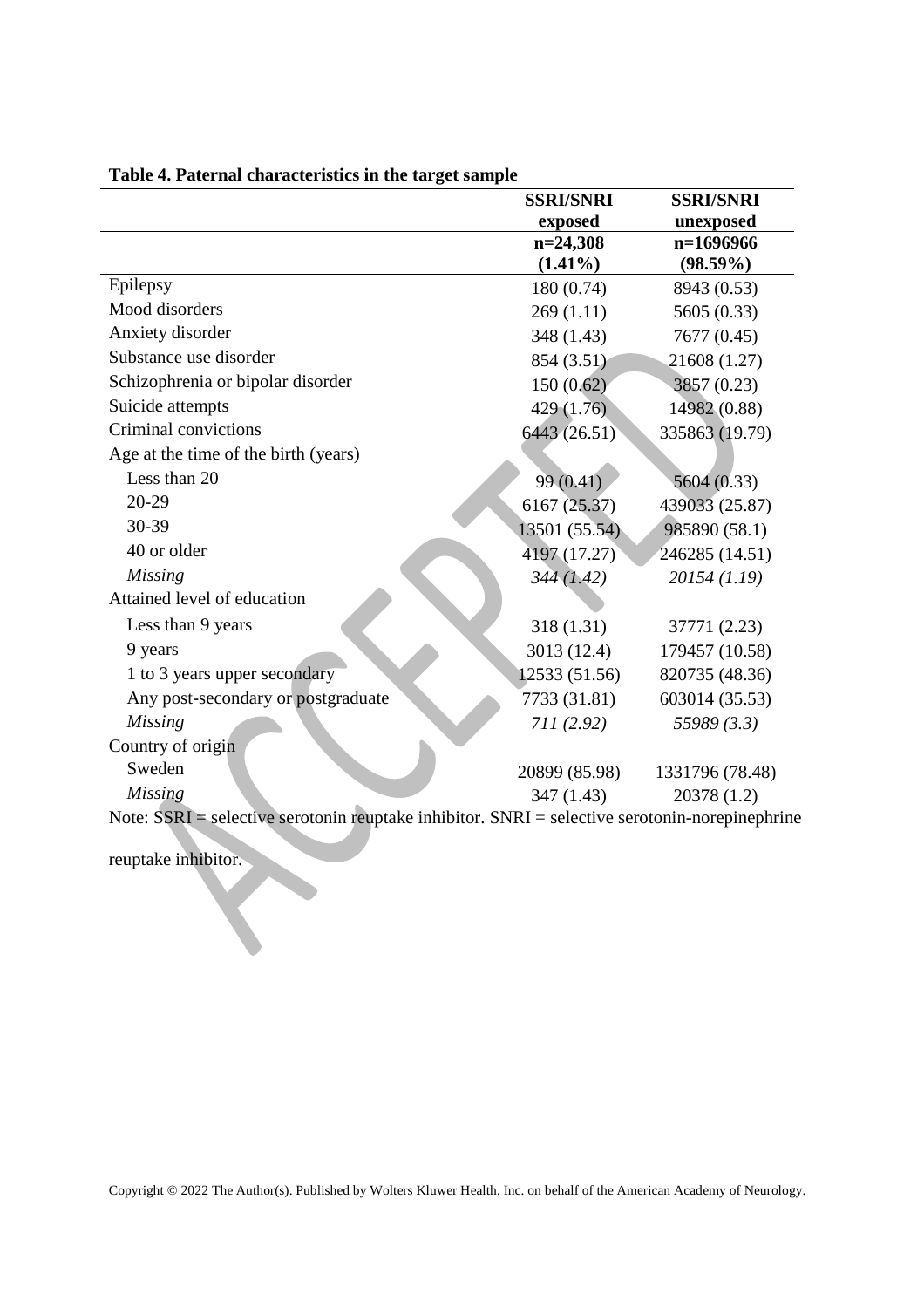|                                      | <b>SSRI/SNRI</b> | <b>SSRI/SNRI</b> |
|--------------------------------------|------------------|------------------|
|                                      | exposed          | unexposed        |
|                                      | $n=24,308$       | $n=1696966$      |
|                                      | $(1.41\%)$       | $(98.59\%)$      |
| Epilepsy                             | 180 (0.74)       | 8943 (0.53)      |
| Mood disorders                       | 269(1.11)        | 5605 (0.33)      |
| Anxiety disorder                     | 348 (1.43)       | 7677 (0.45)      |
| Substance use disorder               | 854 (3.51)       | 21608 (1.27)     |
| Schizophrenia or bipolar disorder    | 150(0.62)        | 3857 (0.23)      |
| Suicide attempts                     | 429(1.76)        | 14982 (0.88)     |
| Criminal convictions                 | 6443 (26.51)     | 335863 (19.79)   |
| Age at the time of the birth (years) |                  |                  |
| Less than 20                         | 99 (0.41)        | 5604 (0.33)      |
| $20 - 29$                            | 6167 (25.37)     | 439033 (25.87)   |
| 30-39                                | 13501 (55.54)    | 985890 (58.1)    |
| 40 or older                          | 4197 (17.27)     | 246285 (14.51)   |
| <b>Missing</b>                       | 344(1.42)        | 20154 (1.19)     |
| Attained level of education          |                  |                  |
| Less than 9 years                    | 318 (1.31)       | 37771 (2.23)     |
| 9 years                              | 3013 (12.4)      | 179457 (10.58)   |
| 1 to 3 years upper secondary         | 12533 (51.56)    | 820735 (48.36)   |
| Any post-secondary or postgraduate   | 7733 (31.81)     | 603014 (35.53)   |
| Missing                              | 711(2.92)        | 55989 (3.3)      |
| Country of origin                    |                  |                  |
| Sweden                               | 20899 (85.98)    | 1331796 (78.48)  |
| <b>Missing</b>                       | 347 (1.43)       | 20378 (1.2)      |

# **Table 4. Paternal characteristics in the target sample**

Note: SSRI = selective serotonin reuptake inhibitor. SNRI = selective serotonin-norepinephrine

reuptake inhibitor.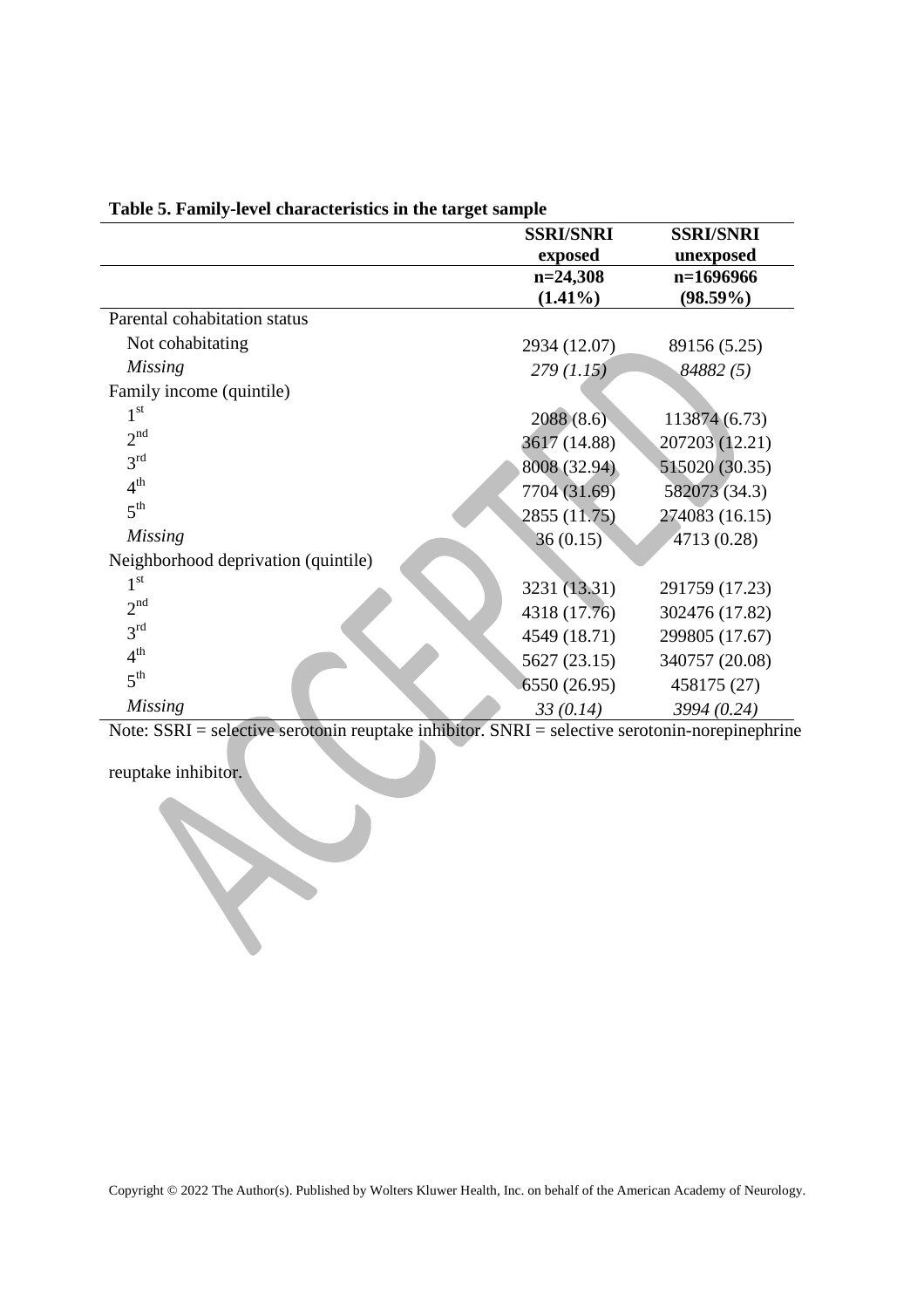|                                     | <b>SSRI/SNRI</b> | <b>SSRI/SNRI</b> |
|-------------------------------------|------------------|------------------|
|                                     | exposed          | unexposed        |
|                                     | $n=24,308$       | $n=1696966$      |
|                                     | $(1.41\%)$       | $(98.59\%)$      |
| Parental cohabitation status        |                  |                  |
| Not cohabitating                    | 2934 (12.07)     | 89156 (5.25)     |
| <b>Missing</b>                      | 279(1.15)        | 84882 (5)        |
| Family income (quintile)            |                  |                  |
| 1 <sup>st</sup>                     | 2088(8.6)        | 113874 (6.73)    |
| 2 <sup>nd</sup>                     | 3617 (14.88)     | 207203 (12.21)   |
| 3 <sup>rd</sup>                     | 8008 (32.94)     | 515020 (30.35)   |
| 4 <sup>th</sup>                     | 7704 (31.69)     | 582073 (34.3)    |
| 5 <sup>th</sup>                     | 2855 (11.75)     | 274083 (16.15)   |
| <b>Missing</b>                      | 36(0.15)         | 4713 (0.28)      |
| Neighborhood deprivation (quintile) |                  |                  |
| 1 <sup>st</sup>                     | 3231 (13.31)     | 291759 (17.23)   |
| 2 <sup>nd</sup>                     | 4318 (17.76)     | 302476 (17.82)   |
| 3 <sup>rd</sup>                     | 4549 (18.71)     | 299805 (17.67)   |
| 4 <sup>th</sup>                     | 5627 (23.15)     | 340757 (20.08)   |
| 5 <sup>th</sup>                     | 6550 (26.95)     | 458175 (27)      |
| <b>Missing</b>                      | 33(0.14)         | 3994 (0.24)      |

**Table 5. Family-level characteristics in the target sample**

Note: SSRI = selective serotonin reuptake inhibitor. SNRI = selective serotonin-norepinephrine

reuptake inhibitor.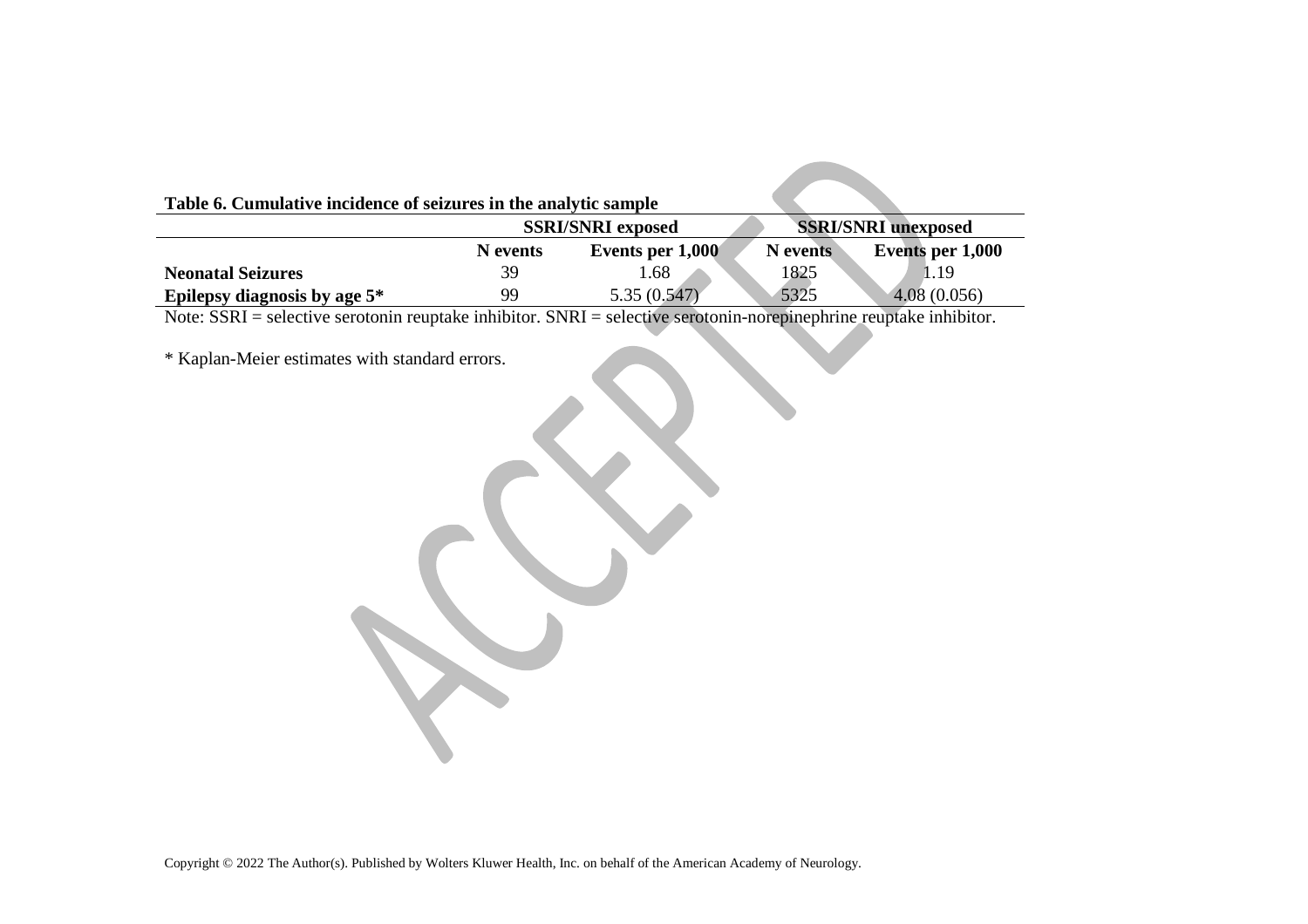| Table 6. Cumulative incidence of seizures in the analytic sample                                                       |                          |                  |                            |                  |
|------------------------------------------------------------------------------------------------------------------------|--------------------------|------------------|----------------------------|------------------|
|                                                                                                                        | <b>SSRI/SNRI exposed</b> |                  | <b>SSRI/SNRI</b> unexposed |                  |
|                                                                                                                        | N events                 | Events per 1,000 | N events                   | Events per 1,000 |
| <b>Neonatal Seizures</b>                                                                                               | 39                       | 1.68             | 1825                       | 1.19             |
| Epilepsy diagnosis by age $5^*$                                                                                        | 99                       | 5.35(0.547)      | 5325                       | 4.08(0.056)      |
| Note: $SSRI$ = selective serotonin reuptake inhibitor. $SNRI$ = selective serotonin-norepinephrine reuptake inhibitor. |                          |                  |                            |                  |

\* Kaplan-Meier estimates with standard errors.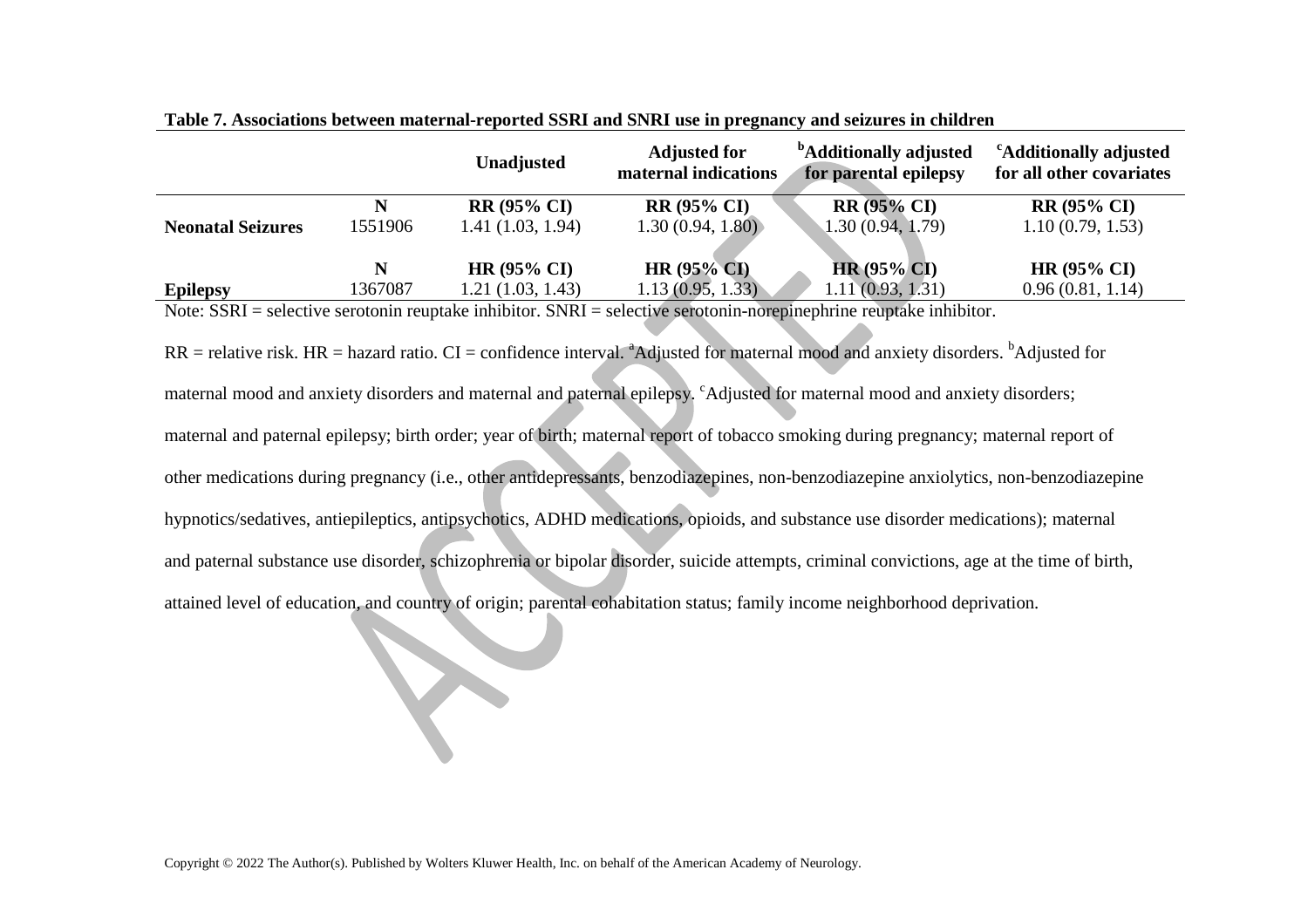|                          |         | <b>Unadjusted</b>    | <b>Adjusted for</b><br>maternal indications | <sup>b</sup> Additionally adjusted<br>for parental epilepsy | <sup>c</sup> Additionally adjusted<br>for all other covariates |
|--------------------------|---------|----------------------|---------------------------------------------|-------------------------------------------------------------|----------------------------------------------------------------|
|                          | N       | <b>RR (95% CI)</b>   | <b>RR (95% CI)</b>                          | <b>RR</b> (95% CI)                                          | <b>RR</b> (95% CI)                                             |
| <b>Neonatal Seizures</b> | 1551906 | 1.41(1.03, 1.94)     | 1.30(0.94, 1.80)                            | 1.30(0.94, 1.79)                                            | 1.10(0.79, 1.53)                                               |
|                          | N       | $HR (95\% CI)$       | HR $(95\% \text{ CI})$                      | $HR(95\% CI)$                                               | $HR (95\% CI)$                                                 |
| <b>Epilepsy</b>          | 1367087 | 1.21(1.03, 1.43)     | 1.13(0.95, 1.33)                            | 1.11(0.93, 1.31)                                            | 0.96(0.81, 1.14)                                               |
| <b>IT CONT</b>           |         | 1.11111<br>$C1$ TD T |                                             |                                                             |                                                                |

**Table 7. Associations between maternal-reported SSRI and SNRI use in pregnancy and seizures in children** 

Note: SSRI = selective serotonin reuptake inhibitor. SNRI = selective serotonin-norepinephrine reuptake inhibitor.

 $RR$  = relative risk. HR = hazard ratio. CI = confidence interval. <sup>a</sup>Adjusted for maternal mood and anxiety disorders. <sup>b</sup>Adjusted for maternal mood and anxiety disorders and maternal and paternal epilepsy. <sup>c</sup>Adjusted for maternal mood and anxiety disorders; maternal and paternal epilepsy; birth order; year of birth; maternal report of tobacco smoking during pregnancy; maternal report of other medications during pregnancy (i.e., other antidepressants, benzodiazepines, non-benzodiazepine anxiolytics, non-benzodiazepine hypnotics/sedatives, antiepileptics, antipsychotics, ADHD medications, opioids, and substance use disorder medications); maternal and paternal substance use disorder, schizophrenia or bipolar disorder, suicide attempts, criminal convictions, age at the time of birth, attained level of education, and country of origin; parental cohabitation status; family income neighborhood deprivation.

X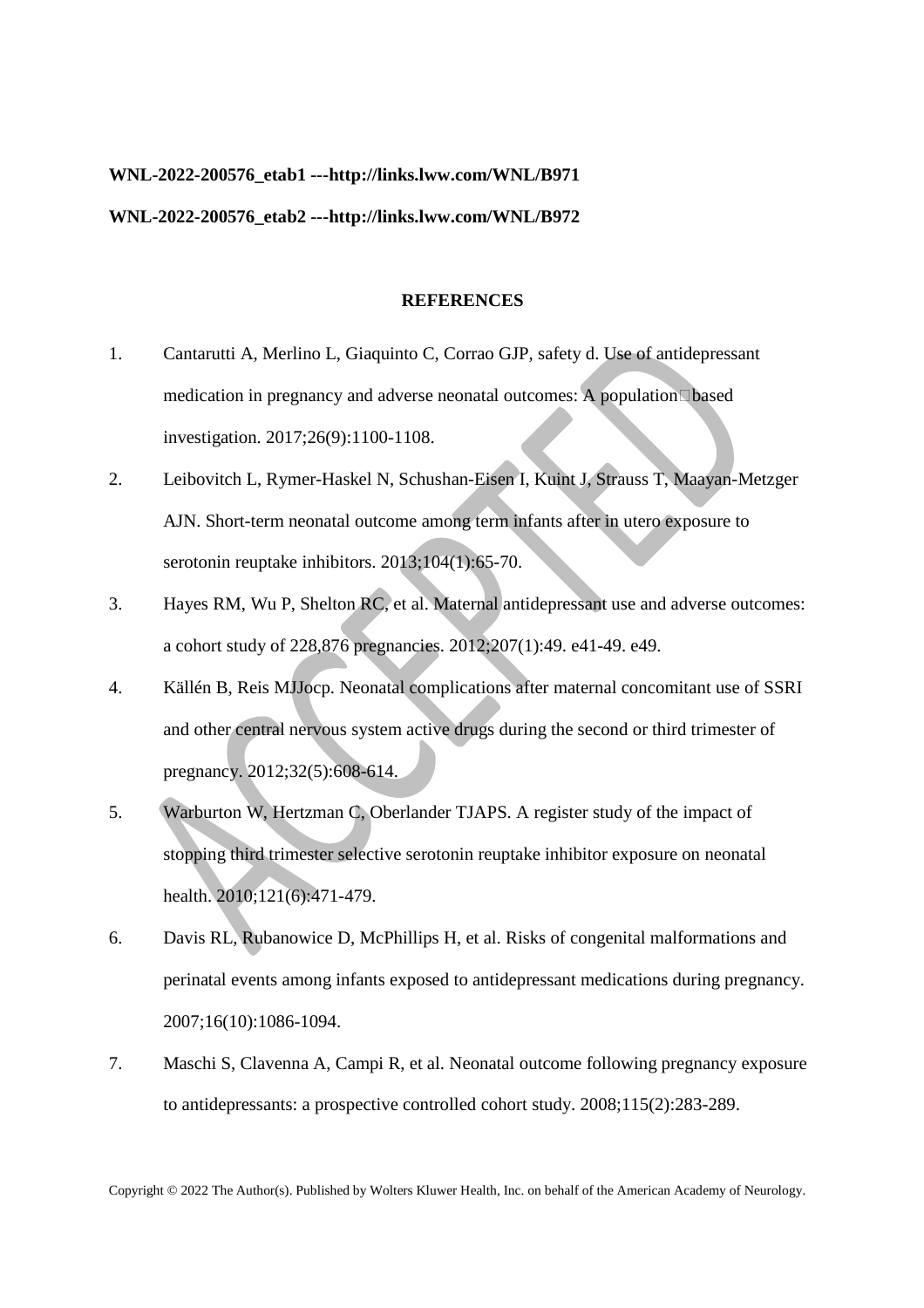# **WNL-2022-200576\_etab1 ---http://links.lww.com/WNL/B971**

## **WNL-2022-200576\_etab2 ---http://links.lww.com/WNL/B972**

#### **REFERENCES**

- 1. Cantarutti A, Merlino L, Giaquinto C, Corrao GJP, safety d. Use of antidepressant medication in pregnancy and adverse neonatal outcomes: A population based investigation. 2017;26(9):1100-1108.
- 2. Leibovitch L, Rymer-Haskel N, Schushan-Eisen I, Kuint J, Strauss T, Maayan-Metzger AJN. Short-term neonatal outcome among term infants after in utero exposure to serotonin reuptake inhibitors. 2013;104(1):65-70.
- 3. Hayes RM, Wu P, Shelton RC, et al. Maternal antidepressant use and adverse outcomes: a cohort study of 228,876 pregnancies. 2012;207(1):49. e41-49. e49.
- 4. Källén B, Reis MJJocp. Neonatal complications after maternal concomitant use of SSRI and other central nervous system active drugs during the second or third trimester of pregnancy. 2012;32(5):608-614.
- 5. Warburton W, Hertzman C, Oberlander TJAPS. A register study of the impact of stopping third trimester selective serotonin reuptake inhibitor exposure on neonatal health. 2010;121(6):471-479.
- 6. Davis RL, Rubanowice D, McPhillips H, et al. Risks of congenital malformations and perinatal events among infants exposed to antidepressant medications during pregnancy. 2007;16(10):1086-1094.
- 7. Maschi S, Clavenna A, Campi R, et al. Neonatal outcome following pregnancy exposure to antidepressants: a prospective controlled cohort study. 2008;115(2):283-289.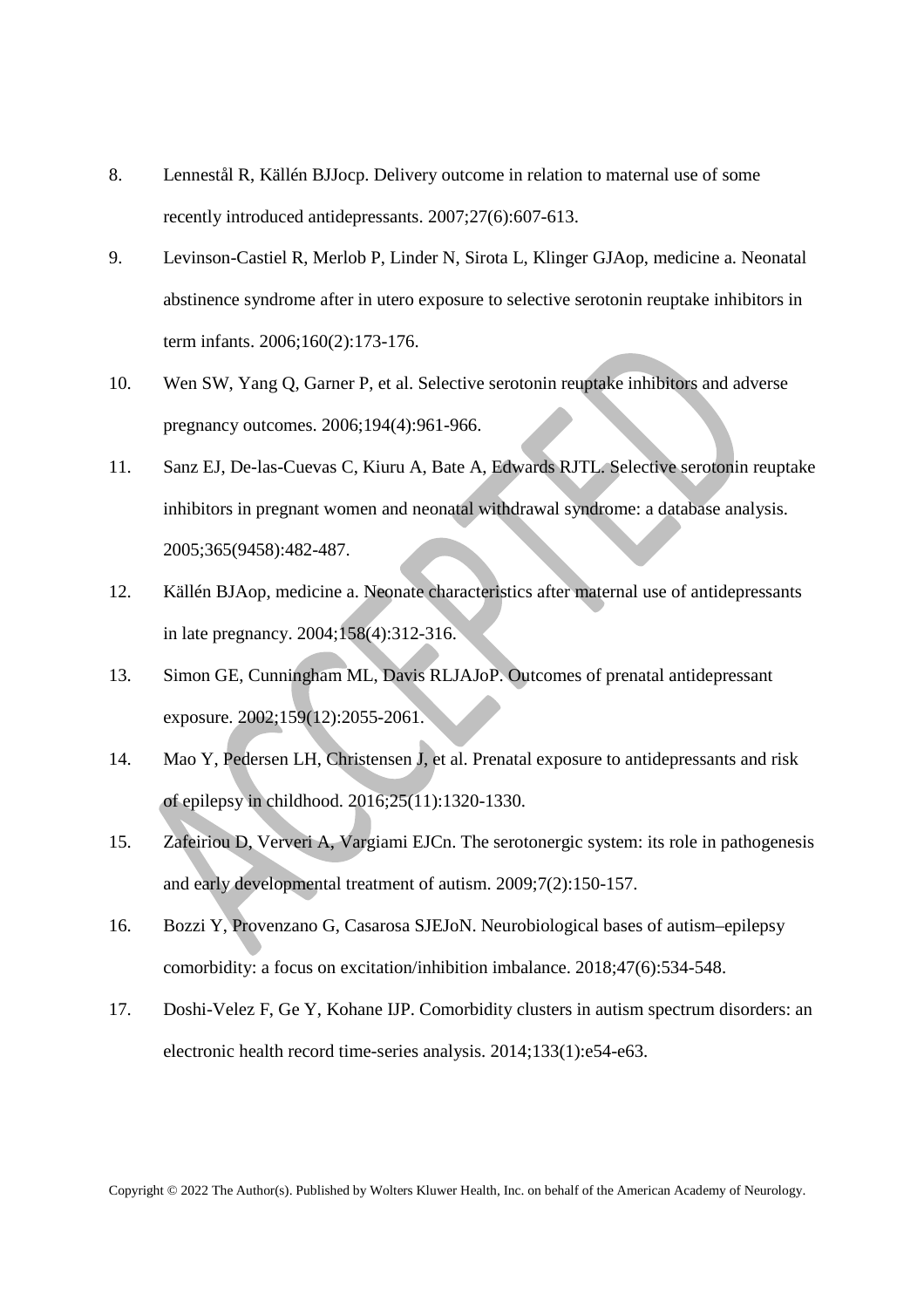- 8. Lennestål R, Källén BJJocp. Delivery outcome in relation to maternal use of some recently introduced antidepressants. 2007;27(6):607-613.
- 9. Levinson-Castiel R, Merlob P, Linder N, Sirota L, Klinger GJAop, medicine a. Neonatal abstinence syndrome after in utero exposure to selective serotonin reuptake inhibitors in term infants. 2006;160(2):173-176.
- 10. Wen SW, Yang Q, Garner P, et al. Selective serotonin reuptake inhibitors and adverse pregnancy outcomes. 2006;194(4):961-966.
- 11. Sanz EJ, De-las-Cuevas C, Kiuru A, Bate A, Edwards RJTL. Selective serotonin reuptake inhibitors in pregnant women and neonatal withdrawal syndrome: a database analysis. 2005;365(9458):482-487.
- 12. Källén BJAop, medicine a. Neonate characteristics after maternal use of antidepressants in late pregnancy. 2004;158(4):312-316.
- 13. Simon GE, Cunningham ML, Davis RLJAJoP. Outcomes of prenatal antidepressant exposure. 2002;159(12):2055-2061.
- 14. Mao Y, Pedersen LH, Christensen J, et al. Prenatal exposure to antidepressants and risk of epilepsy in childhood. 2016;25(11):1320-1330.
- 15. Zafeiriou D, Ververi A, Vargiami EJCn. The serotonergic system: its role in pathogenesis and early developmental treatment of autism. 2009;7(2):150-157.
- 16. Bozzi Y, Provenzano G, Casarosa SJEJoN. Neurobiological bases of autism–epilepsy comorbidity: a focus on excitation/inhibition imbalance. 2018;47(6):534-548.
- 17. Doshi-Velez F, Ge Y, Kohane IJP. Comorbidity clusters in autism spectrum disorders: an electronic health record time-series analysis. 2014;133(1):e54-e63.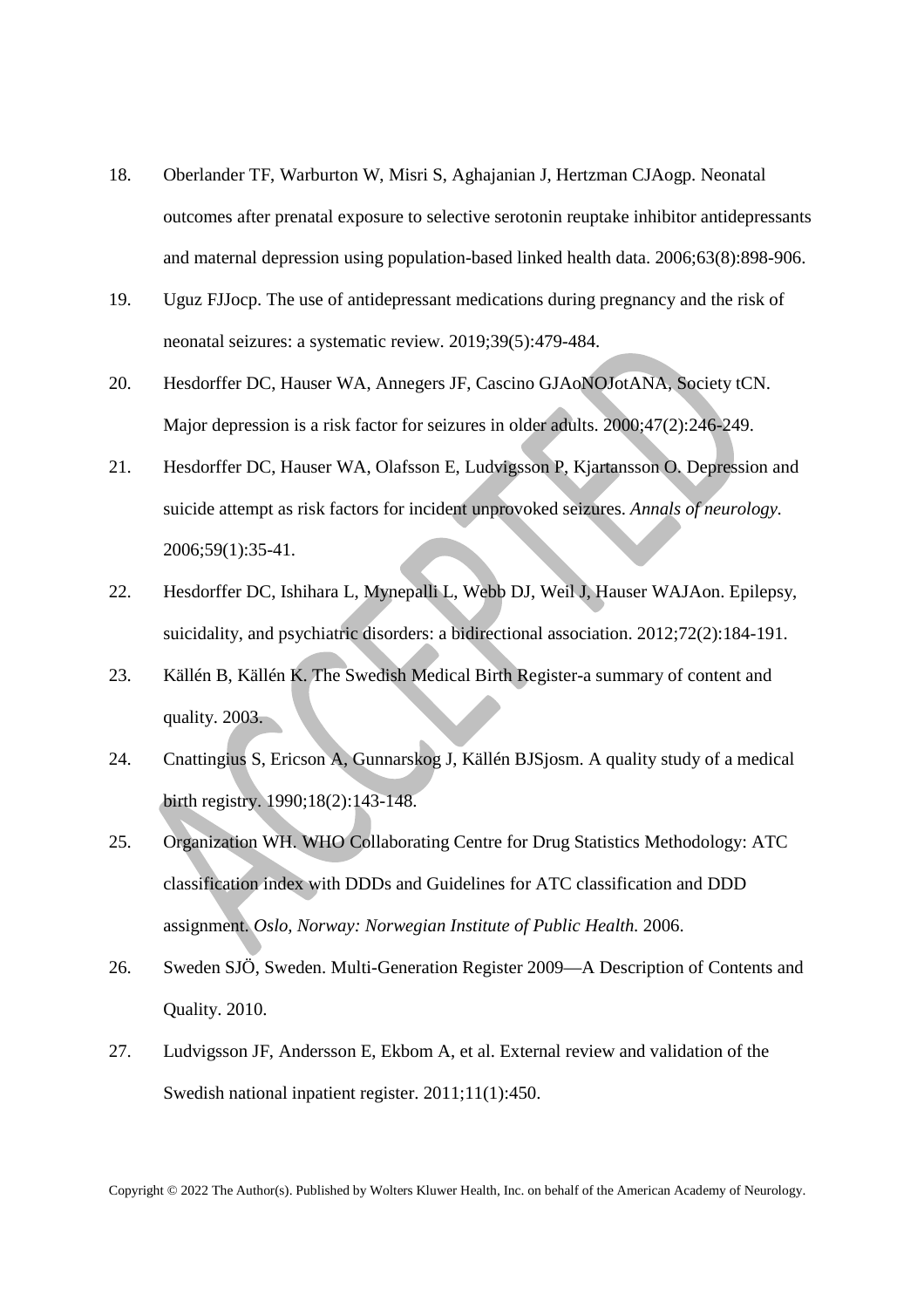- 18. Oberlander TF, Warburton W, Misri S, Aghajanian J, Hertzman CJAogp. Neonatal outcomes after prenatal exposure to selective serotonin reuptake inhibitor antidepressants and maternal depression using population-based linked health data. 2006;63(8):898-906.
- 19. Uguz FJJocp. The use of antidepressant medications during pregnancy and the risk of neonatal seizures: a systematic review. 2019;39(5):479-484.
- 20. Hesdorffer DC, Hauser WA, Annegers JF, Cascino GJAoNOJotANA, Society tCN. Major depression is a risk factor for seizures in older adults. 2000;47(2):246-249.
- 21. Hesdorffer DC, Hauser WA, Olafsson E, Ludvigsson P, Kjartansson O. Depression and suicide attempt as risk factors for incident unprovoked seizures. *Annals of neurology.*  2006;59(1):35-41.
- 22. Hesdorffer DC, Ishihara L, Mynepalli L, Webb DJ, Weil J, Hauser WAJAon. Epilepsy, suicidality, and psychiatric disorders: a bidirectional association. 2012;72(2):184-191.
- 23. Källén B, Källén K. The Swedish Medical Birth Register-a summary of content and quality. 2003.
- 24. Cnattingius S, Ericson A, Gunnarskog J, Källén BJSjosm. A quality study of a medical birth registry. 1990;18(2):143-148.
- 25. Organization WH. WHO Collaborating Centre for Drug Statistics Methodology: ATC classification index with DDDs and Guidelines for ATC classification and DDD assignment. *Oslo, Norway: Norwegian Institute of Public Health.* 2006.
- 26. Sweden SJÖ, Sweden. Multi-Generation Register 2009—A Description of Contents and Quality. 2010.
- 27. Ludvigsson JF, Andersson E, Ekbom A, et al. External review and validation of the Swedish national inpatient register. 2011;11(1):450.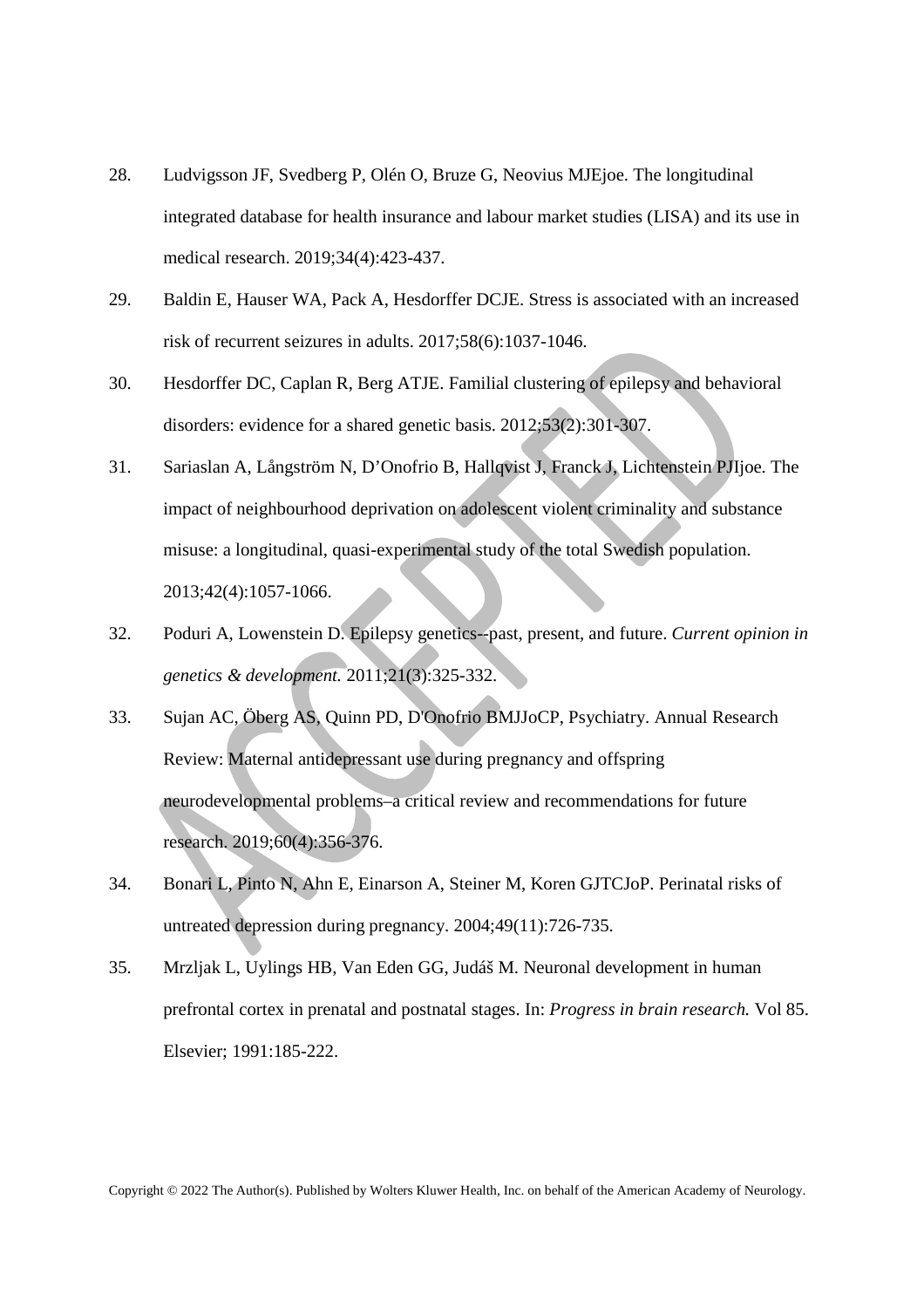- 28. Ludvigsson JF, Svedberg P, Olén O, Bruze G, Neovius MJEjoe. The longitudinal integrated database for health insurance and labour market studies (LISA) and its use in medical research. 2019;34(4):423-437.
- 29. Baldin E, Hauser WA, Pack A, Hesdorffer DCJE. Stress is associated with an increased risk of recurrent seizures in adults. 2017;58(6):1037-1046.
- 30. Hesdorffer DC, Caplan R, Berg ATJE. Familial clustering of epilepsy and behavioral disorders: evidence for a shared genetic basis. 2012;53(2):301-307.
- 31. Sariaslan A, Långström N, D'Onofrio B, Hallqvist J, Franck J, Lichtenstein PJIjoe. The impact of neighbourhood deprivation on adolescent violent criminality and substance misuse: a longitudinal, quasi-experimental study of the total Swedish population. 2013;42(4):1057-1066.
- 32. Poduri A, Lowenstein D. Epilepsy genetics--past, present, and future. *Current opinion in genetics & development.* 2011;21(3):325-332.
- 33. Sujan AC, Öberg AS, Quinn PD, D'Onofrio BMJJoCP, Psychiatry. Annual Research Review: Maternal antidepressant use during pregnancy and offspring neurodevelopmental problems–a critical review and recommendations for future research. 2019;60(4):356-376.
- 34. Bonari L, Pinto N, Ahn E, Einarson A, Steiner M, Koren GJTCJoP. Perinatal risks of untreated depression during pregnancy. 2004;49(11):726-735.
- 35. Mrzljak L, Uylings HB, Van Eden GG, Judáš M. Neuronal development in human prefrontal cortex in prenatal and postnatal stages. In: *Progress in brain research.* Vol 85. Elsevier; 1991:185-222.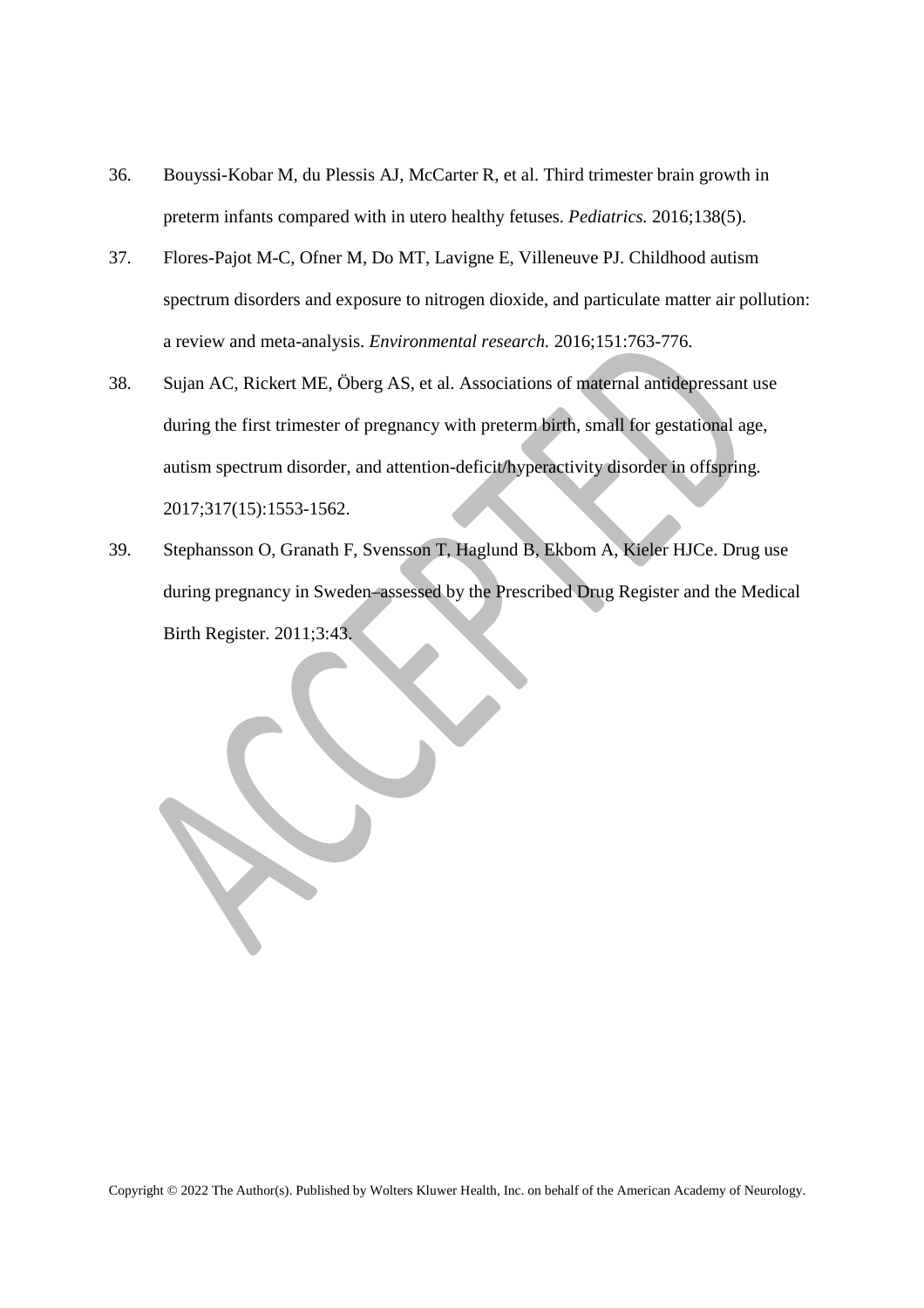- 36. Bouyssi-Kobar M, du Plessis AJ, McCarter R, et al. Third trimester brain growth in preterm infants compared with in utero healthy fetuses. *Pediatrics.* 2016;138(5).
- 37. Flores-Pajot M-C, Ofner M, Do MT, Lavigne E, Villeneuve PJ. Childhood autism spectrum disorders and exposure to nitrogen dioxide, and particulate matter air pollution: a review and meta-analysis. *Environmental research.* 2016;151:763-776.
- 38. Sujan AC, Rickert ME, Öberg AS, et al. Associations of maternal antidepressant use during the first trimester of pregnancy with preterm birth, small for gestational age, autism spectrum disorder, and attention-deficit/hyperactivity disorder in offspring. 2017;317(15):1553-1562.
- 39. Stephansson O, Granath F, Svensson T, Haglund B, Ekbom A, Kieler HJCe. Drug use during pregnancy in Sweden–assessed by the Prescribed Drug Register and the Medical Birth Register. 2011;3:43.